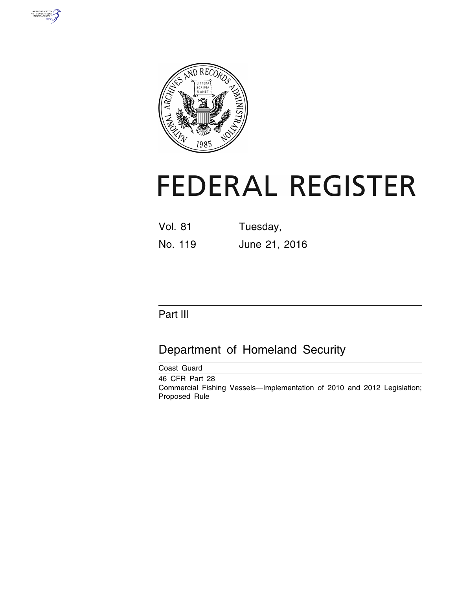



# **FEDERAL REGISTER**

| <b>Vol. 81</b> | Tuesday,      |
|----------------|---------------|
| No. 119        | June 21, 2016 |

# Part III

# Department of Homeland Security

| Coast Guard                                                                                                |  |
|------------------------------------------------------------------------------------------------------------|--|
| 46 CFR Part 28<br>Commercial Fishing Vessels—Implementation of 2010 and 2012 Legislation;<br>Proposed Rule |  |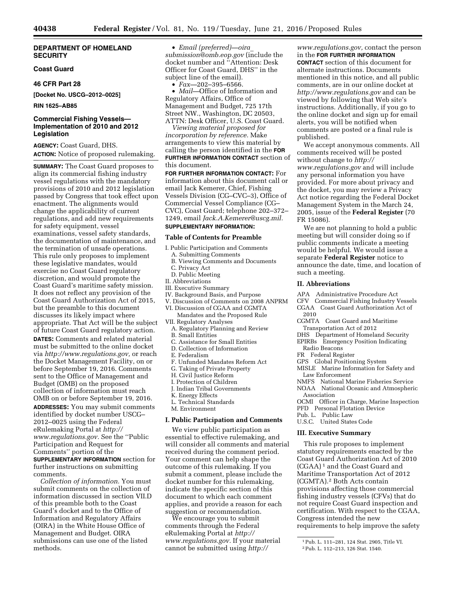#### **DEPARTMENT OF HOMELAND SECURITY**

#### **Coast Guard**

#### **46 CFR Part 28**

**[Docket No. USCG–2012–0025]** 

**RIN 1625–AB85** 

#### **Commercial Fishing Vessels— Implementation of 2010 and 2012 Legislation**

**AGENCY:** Coast Guard, DHS. **ACTION:** Notice of proposed rulemaking.

**SUMMARY:** The Coast Guard proposes to align its commercial fishing industry vessel regulations with the mandatory provisions of 2010 and 2012 legislation passed by Congress that took effect upon enactment. The alignments would change the applicability of current regulations, and add new requirements for safety equipment, vessel examinations, vessel safety standards, the documentation of maintenance, and the termination of unsafe operations. This rule only proposes to implement these legislative mandates, would exercise no Coast Guard regulatory discretion, and would promote the Coast Guard's maritime safety mission. It does not reflect any provision of the Coast Guard Authorization Act of 2015, but the preamble to this document discusses its likely impact where appropriate. That Act will be the subject of future Coast Guard regulatory action.

**DATES:** Comments and related material must be submitted to the online docket via *[http://www.regulations.gov,](http://www.regulations.gov)* or reach the Docket Management Facility, on or before September 19, 2016. Comments sent to the Office of Management and Budget (OMB) on the proposed collection of information must reach OMB on or before September 19, 2016.

**ADDRESSES:** You may submit comments identified by docket number USCG– 2012–0025 using the Federal eRulemaking Portal at *[http://](http://www.regulations.gov) [www.regulations.gov.](http://www.regulations.gov)* See the ''Public Participation and Request for Comments'' portion of the

**SUPPLEMENTARY INFORMATION** section for further instructions on submitting comments.

*Collection of information.* You must submit comments on the collection of information discussed in section VII.D of this preamble both to the Coast Guard's docket and to the Office of Information and Regulatory Affairs (OIRA) in the White House Office of Management and Budget. OIRA submissions can use one of the listed methods.

• *Email (preferred)—[oira](mailto:oira_submission@omb.eop.gov)*\_ *[submission@omb.eop.gov](mailto:oira_submission@omb.eop.gov)* (include the docket number and ''Attention: Desk Officer for Coast Guard, DHS'' in the subject line of the email).

• *Fax—*202–395–6566.

• *Mail—*Office of Information and Regulatory Affairs, Office of Management and Budget, 725 17th Street NW., Washington, DC 20503, ATTN: Desk Officer, U.S. Coast Guard.

*Viewing material proposed for incorporation by reference.* Make arrangements to view this material by calling the person identified in the **FOR FURTHER INFORMATION CONTACT** section of this document.

**FOR FURTHER INFORMATION CONTACT:** For information about this document call or email Jack Kemerer, Chief, Fishing Vessels Division (CG–CVC–3), Office of Commercial Vessel Compliance (CG– CVC), Coast Guard; telephone 202–372– 1249, email *[Jack.A.Kemerer@uscg.mil.](mailto:Jack.A.Kemerer@uscg.mil)*  **SUPPLEMENTARY INFORMATION:** 

### **Table of Contents for Preamble**

- I. Public Participation and Comments
- A. Submitting Comments
- B. Viewing Comments and Documents
- C. Privacy Act
- D. Public Meeting
- II. Abbreviations
- III. Executive Summary
- IV. Background Basis, and Purpose
- V. Discussion of Comments on 2008 ANPRM VI. Discussion of CGAA and CGMTA
- Mandates and the Proposed Rule
- VII. Regulatory Analyses A. Regulatory Planning and Review
- B. Small Entities
- C. Assistance for Small Entities
- D. Collection of Information
- E. Federalism
- F. Unfunded Mandates Reform Act
- G. Taking of Private Property
- H. Civil Justice Reform
- I. Protection of Children
- J. Indian Tribal Governments
- K. Energy Effects
- L. Technical Standards
- M. Environment

#### **I. Public Participation and Comments**

We view public participation as essential to effective rulemaking, and will consider all comments and material received during the comment period. Your comment can help shape the outcome of this rulemaking. If you submit a comment, please include the docket number for this rulemaking, indicate the specific section of this document to which each comment applies, and provide a reason for each suggestion or recommendation.

We encourage you to submit comments through the Federal eRulemaking Portal at *[http://](http://www.regulations.gov) [www.regulations.gov.](http://www.regulations.gov)* If your material cannot be submitted using *[http://](http://www.regulations.gov)*

*[www.regulations.gov,](http://www.regulations.gov)* contact the person in the **FOR FURTHER INFORMATION CONTACT** section of this document for alternate instructions. Documents mentioned in this notice, and all public comments, are in our online docket at *<http://www.regulations.gov>* and can be viewed by following that Web site's instructions. Additionally, if you go to the online docket and sign up for email alerts, you will be notified when comments are posted or a final rule is published.

We accept anonymous comments. All comments received will be posted without change to *[http://](http://www.regulations.gov) [www.regulations.gov](http://www.regulations.gov)* and will include any personal information you have provided. For more about privacy and the docket, you may review a Privacy Act notice regarding the Federal Docket Management System in the March 24, 2005, issue of the **Federal Register** (70 FR 15086).

We are not planning to hold a public meeting but will consider doing so if public comments indicate a meeting would be helpful. We would issue a separate **Federal Register** notice to announce the date, time, and location of such a meeting.

#### **II. Abbreviations**

APA Administrative Procedure Act

- CFV Commercial Fishing Industry Vessels CGAA Coast Guard Authorization Act of 2010
- CGMTA Coast Guard and Maritime Transportation Act of 2012
- DHS Department of Homeland Security
- EPIRBs Emergency Position Indicating
- Radio Beacons
- FR Federal Register
- GPS Global Positioning System
- MISLE Marine Information for Safety and Law Enforcement
- NMFS National Marine Fisheries Service
- NOAA National Oceanic and Atmospheric Association
- OCMI Officer in Charge, Marine Inspection
- PFD Personal Flotation Device
- Pub. L. Public Law
- U.S.C. United States Code

#### **III. Executive Summary**

This rule proposes to implement statutory requirements enacted by the Coast Guard Authorization Act of 2010 (CGAA) 1 and the Coast Guard and Maritime Transportation Act of 2012 (CGMTA).2 Both Acts contain provisions affecting those commercial fishing industry vessels (CFVs) that do not require Coast Guard inspection and certification. With respect to the CGAA, Congress intended the new requirements to help improve the safety

<sup>1</sup>Pub. L. 111–281, 124 Stat. 2905, Title VI.

<sup>2</sup>Pub. L. 112–213, 126 Stat. 1540.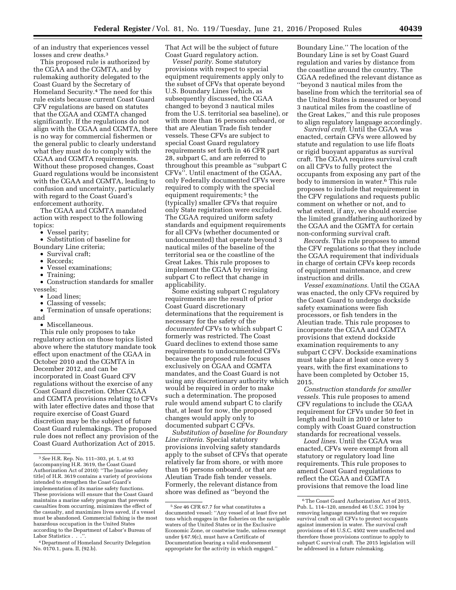of an industry that experiences vessel losses and crew deaths.<sup>3</sup>

This proposed rule is authorized by the CGAA and the CGMTA, and by rulemaking authority delegated to the Coast Guard by the Secretary of Homeland Security.4 The need for this rule exists because current Coast Guard CFV regulations are based on statutes that the CGAA and CGMTA changed significantly. If the regulations do not align with the CGAA and CGMTA, there is no way for commercial fishermen or the general public to clearly understand what they must do to comply with the CGAA and CGMTA requirements. Without these proposed changes, Coast Guard regulations would be inconsistent with the CGAA and CGMTA, leading to confusion and uncertainty, particularly with regard to the Coast Guard's enforcement authority.

The CGAA and CGMTA mandated action with respect to the following topics:

• Vessel parity;

• Substitution of baseline for

- Boundary Line criteria; • Survival craft;
	- Records;
	- Vessel examinations;
	- Training;

• Construction standards for smaller vessels;

- Load lines:
- Classing of vessels;
- Termination of unsafe operations; and
- Miscellaneous.

This rule only proposes to take regulatory action on those topics listed above where the statutory mandate took effect upon enactment of the CGAA in October 2010 and the CGMTA in December 2012, and can be incorporated in Coast Guard CFV regulations without the exercise of any Coast Guard discretion. Other CGAA and CGMTA provisions relating to CFVs with later effective dates and those that require exercise of Coast Guard discretion may be the subject of future Coast Guard rulemakings. The proposed rule does not reflect any provision of the Coast Guard Authorization Act of 2015.

That Act will be the subject of future Coast Guard regulatory action.

*Vessel parity.* Some statutory provisions with respect to special equipment requirements apply only to the subset of CFVs that operate beyond U.S. Boundary Lines (which, as subsequently discussed, the CGAA changed to beyond 3 nautical miles from the U.S. territorial sea baseline), or with more than 16 persons onboard, or that are Aleutian Trade fish tender vessels. These CFVs are subject to special Coast Guard regulatory requirements set forth in 46 CFR part 28, subpart C, and are referred to throughout this preamble as ''subpart C CFVs''. Until enactment of the CGAA, only Federally documented CFVs were required to comply with the special equipment requirements;<sup>5</sup> the (typically) smaller CFVs that require only State registration were excluded. The CGAA required uniform safety standards and equipment requirements for all CFVs (whether documented or undocumented) that operate beyond 3 nautical miles of the baseline of the territorial sea or the coastline of the Great Lakes. This rule proposes to implement the CGAA by revising subpart C to reflect that change in applicability.

Some existing subpart C regulatory requirements are the result of prior Coast Guard discretionary determinations that the requirement is necessary for the safety of the *documented* CFVs to which subpart C formerly was restricted. The Coast Guard declines to extend those same requirements to undocumented CFVs because the proposed rule focuses exclusively on CGAA and CGMTA mandates, and the Coast Guard is not using any discretionary authority which would be required in order to make such a determination. The proposed rule would amend subpart C to clarify that, at least for now, the proposed changes would apply only to documented subpart C CFVs.

*Substitution of baseline for Boundary Line criteria.* Special statutory provisions involving safety standards apply to the subset of CFVs that operate relatively far from shore, or with more than 16 persons onboard, or that are Aleutian Trade fish tender vessels. Formerly, the relevant distance from shore was defined as ''beyond the

Boundary Line.'' The location of the Boundary Line is set by Coast Guard regulation and varies by distance from the coastline around the country. The CGAA redefined the relevant distance as ''beyond 3 nautical miles from the baseline from which the territorial sea of the United States is measured or beyond 3 nautical miles from the coastline of the Great Lakes,'' and this rule proposes to align regulatory language accordingly.

*Survival craft.* Until the CGAA was enacted, certain CFVs were allowed by statute and regulation to use life floats or rigid buoyant apparatus as survival craft. The CGAA requires survival craft on all CFVs to fully protect the occupants from exposing any part of the body to immersion in water.6 This rule proposes to include that requirement in the CFV regulations and requests public comment on whether or not, and to what extent, if any, we should exercise the limited grandfathering authorized by the CGAA and the CGMTA for certain non-conforming survival craft.

*Records.* This rule proposes to amend the CFV regulations so that they include the CGAA requirement that individuals in charge of certain CFVs keep records of equipment maintenance, and crew instruction and drills.

*Vessel examinations.* Until the CGAA was enacted, the only CFVs required by the Coast Guard to undergo dockside safety examinations were fish processors, or fish tenders in the Aleutian trade. This rule proposes to incorporate the CGAA and CGMTA provisions that extend dockside examination requirements to any subpart C CFV. Dockside examinations must take place at least once every 5 years, with the first examinations to have been completed by October 15, 2015.

*Construction standards for smaller vessels.* This rule proposes to amend CFV regulations to include the CGAA requirement for CFVs under 50 feet in length and built in 2010 or later to comply with Coast Guard construction standards for recreational vessels.

*Load lines.* Until the CGAA was enacted, CFVs were exempt from all statutory or regulatory load line requirements. This rule proposes to amend Coast Guard regulations to reflect the CGAA and CGMTA provisions that remove the load line

<sup>3</sup>*See* H.R. Rep. No. 111–303, pt. 1, at 93 (accompanying H.R. 3619, the Coast Guard Authorization Act of 2010): ''The [marine safety title] of H.R. 3619 contains a variety of provisions intended to strengthen the Coast Guard's implementation of its marine safety functions. These provisions will ensure that the Coast Guard maintains a marine safety program that prevents casualties from occurring, minimizes the effect of the casualty, and maximizes lives saved, if a vessel must be abandoned. Commercial fishing is the most hazardous occupation in the United States according to the Department of Labor's Bureau of Labor Statistics . . .

<sup>4</sup> Department of Homeland Security Delegation No. 0170.1, para. II, (92.b).

<sup>5</sup>*See* 46 CFR 67.7 for what constitutes a documented vessel: ''Any vessel of at least five net tons which engages in the fisheries on the navigable waters of the United States or in the Exclusive Economic Zone, or coastwise trade, unless exempt under § 67.9(c), must have a Certificate of Documentation bearing a valid endorsement appropriate for the activity in which engaged.''

<sup>6</sup>The Coast Guard Authorization Act of 2015, Pub. L. 114–120, amended 46 U.S.C. 3104 by removing language mandating that we require survival craft on all CFVs to protect occupants against immersion in water. The survival craft provisions of 46 U.S.C. 4502 were unaffected and therefore those provisions continue to apply to subpart C survival craft. The 2015 legislation will be addressed in a future rulemaking.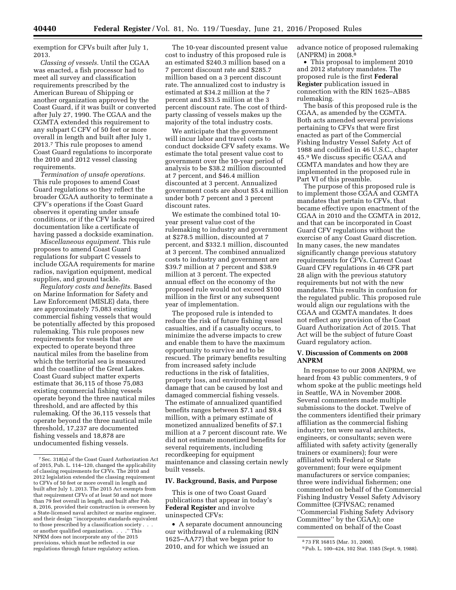exemption for CFVs built after July 1, 2013.

*Classing of vessels.* Until the CGAA was enacted, a fish processor had to meet all survey and classification requirements prescribed by the American Bureau of Shipping or another organization approved by the Coast Guard, if it was built or converted after July 27, 1990. The CGAA and the CGMTA extended this requirement to any subpart C CFV of 50 feet or more overall in length and built after July 1, 2013.7 This rule proposes to amend Coast Guard regulations to incorporate the 2010 and 2012 vessel classing requirements.

*Termination of unsafe operations.*  This rule proposes to amend Coast Guard regulations so they reflect the broader CGAA authority to terminate a CFV's operations if the Coast Guard observes it operating under unsafe conditions, or if the CFV lacks required documentation like a certificate of having passed a dockside examination.

*Miscellaneous equipment.* This rule proposes to amend Coast Guard regulations for subpart C vessels to include CGAA requirements for marine radios, navigation equipment, medical supplies, and ground tackle.

*Regulatory costs and benefits.* Based on Marine Information for Safety and Law Enforcement (MISLE) data, there are approximately 75,083 existing commercial fishing vessels that would be potentially affected by this proposed rulemaking. This rule proposes new requirements for vessels that are expected to operate beyond three nautical miles from the baseline from which the territorial sea is measured and the coastline of the Great Lakes. Coast Guard subject matter experts estimate that 36,115 of those 75,083 existing commercial fishing vessels operate beyond the three nautical miles threshold, and are affected by this rulemaking. Of the 36,115 vessels that operate beyond the three nautical mile threshold, 17,237 are documented fishing vessels and 18,878 are undocumented fishing vessels.

The 10-year discounted present value cost to industry of this proposed rule is an estimated \$240.3 million based on a 7 percent discount rate and \$285.7 million based on a 3 percent discount rate. The annualized cost to industry is estimated at \$34.2 million at the 7 percent and \$33.5 million at the 3 percent discount rate. The cost of thirdparty classing of vessels makes up the majority of the total industry costs.

We anticipate that the government will incur labor and travel costs to conduct dockside CFV safety exams. We estimate the total present value cost to government over the 10-year period of analysis to be \$38.2 million discounted at 7 percent, and \$46.4 million discounted at 3 percent. Annualized government costs are about \$5.4 million under both 7 percent and 3 percent discount rates.

We estimate the combined total 10 year present value cost of the rulemaking to industry and government at \$278.5 million, discounted at 7 percent, and \$332.1 million, discounted at 3 percent. The combined annualized costs to industry and government are \$39.7 million at 7 percent and \$38.9 million at 3 percent. The expected annual effect on the economy of the proposed rule would not exceed \$100 million in the first or any subsequent year of implementation.

The proposed rule is intended to reduce the risk of future fishing vessel casualties, and if a casualty occurs, to minimize the adverse impacts to crew and enable them to have the maximum opportunity to survive and to be rescued. The primary benefits resulting from increased safety include reductions in the risk of fatalities, property loss, and environmental damage that can be caused by lost and damaged commercial fishing vessels. The estimate of annualized quantified benefits ranges between \$7.1 and \$9.4 million, with a primary estimate of monetized annualized benefits of \$7.1 million at a 7 percent discount rate. We did not estimate monetized benefits for several requirements, including recordkeeping for equipment maintenance and classing certain newly built vessels.

#### **IV. Background, Basis, and Purpose**

This is one of two Coast Guard publications that appear in today's **Federal Register** and involve uninspected CFVs:

• A separate document announcing our withdrawal of a rulemaking (RIN 1625–AA77) that we began prior to 2010, and for which we issued an

advance notice of proposed rulemaking (ANPRM) in 2008.8

• This proposal to implement 2010 and 2012 statutory mandates. The proposed rule is the first **Federal Register** publication issued in connection with the RIN 1625–AB85 rulemaking.

The basis of this proposed rule is the CGAA, as amended by the CGMTA. Both acts amended several provisions pertaining to CFVs that were first enacted as part of the Commercial Fishing Industry Vessel Safety Act of 1988 and codified in 46 U.S.C., chapter 45.9 We discuss specific CGAA and CGMTA mandates and how they are implemented in the proposed rule in Part VI of this preamble.

The purpose of this proposed rule is to implement those CGAA and CGMTA mandates that pertain to CFVs, that became effective upon enactment of the CGAA in 2010 and the CGMTA in 2012, and that can be incorporated in Coast Guard CFV regulations without the exercise of any Coast Guard discretion. In many cases, the new mandates significantly change previous statutory requirements for CFVs. Current Coast Guard CFV regulations in 46 CFR part 28 align with the previous statutory requirements but not with the new mandates. This results in confusion for the regulated public. This proposed rule would align our regulations with the CGAA and CGMTA mandates. It does not reflect any provision of the Coast Guard Authorization Act of 2015. That Act will be the subject of future Coast Guard regulatory action.

#### **V. Discussion of Comments on 2008 ANPRM**

In response to our 2008 ANPRM, we heard from 43 public commenters, 9 of whom spoke at the public meetings held in Seattle, WA in November 2008. Several commenters made multiple submissions to the docket. Twelve of the commenters identified their primary affiliation as the commercial fishing industry; ten were naval architects, engineers, or consultants; seven were affiliated with safety activity (generally trainers or examiners); four were affiliated with Federal or State government; four were equipment manufacturers or service companies; three were individual fishermen; one commented on behalf of the Commercial Fishing Industry Vessel Safety Advisory Committee (CFIVSAC; renamed ''Commercial Fishing Safety Advisory Committee'' by the CGAA); one commented on behalf of the Coast

<sup>7</sup>Sec. 318(a) of the Coast Guard Authorization Act of 2015, Pub. L. 114–120, changed the applicability of classing requirements for CFVs. The 2010 and 2012 legislation extended the classing requirement to CFVs of 50 feet or more overall in length and built after July 1, 2013. The 2015 Act exempts from that requirement CFVs of at least 50 and not more than 79 feet overall in length, and built after Feb. 8, 2016, provided their construction is overseen by a State-licensed naval architect or marine engineer, and their design ''incorporates standards equivalent to those prescribed by a classification society . . . or another qualified organization. . . .'' This NPRM does not incorporate any of the 2015 provisions, which must be reflected in our regulations through future regulatory action.

<sup>8</sup> 73 FR 16815 (Mar. 31, 2008).

<sup>9</sup>Pub. L. 100–424, 102 Stat. 1585 (Sept. 9, 1988).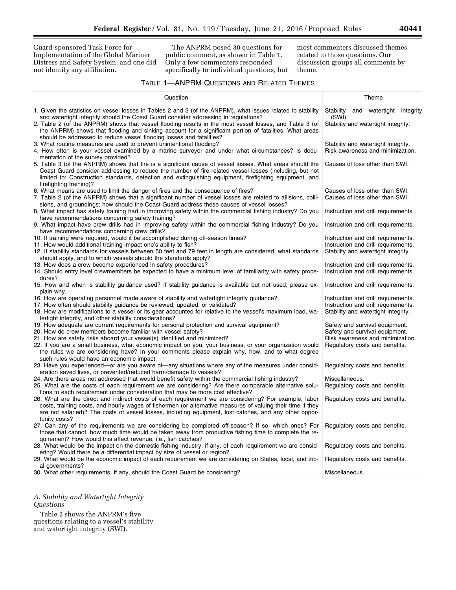Guard-sponsored Task Force for Implementation of the Global Mariner Distress and Safety System; and one did not identify any affiliation.

The ANPRM posed 30 questions for public comment, as shown in Table 1. Only a few commenters responded specifically to individual questions, but most commenters discussed themes related to those questions. Our discussion groups all comments by theme.

#### TABLE 1—ANPRM QUESTIONS AND RELATED THEMES

| Question                                                                                                                                                                                                                                                                                                                                                                                                                                                                                        | Theme                                                                                                                                  |  |  |
|-------------------------------------------------------------------------------------------------------------------------------------------------------------------------------------------------------------------------------------------------------------------------------------------------------------------------------------------------------------------------------------------------------------------------------------------------------------------------------------------------|----------------------------------------------------------------------------------------------------------------------------------------|--|--|
| 1. Given the statistics on vessel losses in Tables 2 and 3 (of the ANPRM), what issues related to stability<br>and watertight integrity should the Coast Guard consider addressing in regulations?<br>2. Table 2 (of the ANPRM) shows that vessel flooding results in the most vessel losses, and Table 3 (of<br>the ANPRM) shows that flooding and sinking account for a significant portion of fatalities. What areas<br>should be addressed to reduce vessel flooding losses and fatalities? | Stability and watertight integrity<br>(SWI).<br>Stability and watertight integrity.                                                    |  |  |
| 3. What routine measures are used to prevent unintentional flooding?<br>4. How often is your vessel examined by a marine surveyor and under what circumstances? Is docu-<br>mentation of the survey provided?                                                                                                                                                                                                                                                                                   | Stability and watertight integrity.<br>Risk awareness and minimization.                                                                |  |  |
| 5. Table 3 (of the ANPRM) shows that fire is a significant cause of vessel losses. What areas should the<br>Coast Guard consider addressing to reduce the number of fire-related vessel losses (including, but not<br>limited to: Construction standards, detection and extinguishing equipment, firefighting equipment, and<br>firefighting training)?                                                                                                                                         | Causes of loss other than SWI.                                                                                                         |  |  |
| 6. What means are used to limit the danger of fires and the consequence of fires?<br>7. Table 2 (of the ANPRM) shows that a significant number of vessel losses are related to allisions, colli-<br>sions, and groundings; how should the Coast Guard address these causes of vessel losses?                                                                                                                                                                                                    | Causes of loss other than SWI.<br>Causes of loss other than SWI.                                                                       |  |  |
| 8. What impact has safety training had in improving safety within the commercial fishing industry? Do you<br>have recommendations concerning safety training?                                                                                                                                                                                                                                                                                                                                   | Instruction and drill requirements.                                                                                                    |  |  |
| 9. What impact have crew drills had in improving safety within the commercial fishing industry? Do you<br>have recommendations concerning crew drills?                                                                                                                                                                                                                                                                                                                                          | Instruction and drill requirements.                                                                                                    |  |  |
| 10. If training were required, would it be accomplished during off-season times?<br>11. How would additional training impact one's ability to fish?<br>12. If stability standards for vessels between 50 feet and 79 feet in length are considered, what standards<br>should apply, and to which vessels should the standards apply?                                                                                                                                                            | Instruction and drill requirements.<br>Instruction and drill requirements.<br>Stability and watertight integrity.                      |  |  |
| 13. How does a crew become experienced in safety procedures?<br>14. Should entry level crewmembers be expected to have a minimum level of familiarity with safety proce-<br>dures?                                                                                                                                                                                                                                                                                                              | Instruction and drill requirements.<br>Instruction and drill requirements.                                                             |  |  |
| 15. How and when is stability guidance used? If stability guidance is available but not used, please ex-<br>plain why.                                                                                                                                                                                                                                                                                                                                                                          | Instruction and drill requirements.                                                                                                    |  |  |
| 16. How are operating personnel made aware of stability and watertight integrity guidance?<br>17. How often should stability guidance be reviewed, updated, or validated?<br>18. How are modifications to a vessel or its gear accounted for relative to the vessel's maximum load, wa-<br>tertight integrity, and other stability considerations?                                                                                                                                              | Instruction and drill requirements.<br>Instruction and drill requirements.<br>Stability and watertight integrity.                      |  |  |
| 19. How adequate are current requirements for personal protection and survival equipment?<br>20. How do crew members become familiar with vessel safety?<br>21. How are safety risks aboard your vessel(s) identified and minimized?<br>22. If you are a small business, what economic impact on you, your business, or your organization would<br>the rules we are considering have? In your comments please explain why, how, and to what degree<br>such rules would have an economic impact. | Safety and survival equipment.<br>Safety and survival equipment.<br>Risk awareness and minimization.<br>Regulatory costs and benefits. |  |  |
| 23. Have you experienced—or are you aware of—any situations where any of the measures under consid-<br>eration saved lives, or prevented/reduced harm/damage to vessels?                                                                                                                                                                                                                                                                                                                        | Regulatory costs and benefits.                                                                                                         |  |  |
| 24. Are there areas not addressed that would benefit safety within the commercial fishing industry?<br>25. What are the costs of each requirement we are considering? Are there comparable alternative solu-<br>tions to each requirement under consideration that may be more cost effective?                                                                                                                                                                                                  | Miscellaneous.<br>Regulatory costs and benefits.                                                                                       |  |  |
| 26. What are the direct and indirect costs of each requirement we are considering? For example, labor<br>costs, training costs, and hourly wages of fishermen (or alternative measures of valuing their time if they<br>are not salaried)? The costs of vessel losses, including equipment, lost catches, and any other oppor-<br>tunity costs?                                                                                                                                                 | Regulatory costs and benefits.                                                                                                         |  |  |
| 27. Can any of the requirements we are considering be completed off-season? If so, which ones? For<br>those that cannot, how much time would be taken away from productive fishing time to complete the re-<br>quirement? How would this affect revenue, i.e., fish catches?                                                                                                                                                                                                                    | Regulatory costs and benefits.                                                                                                         |  |  |
| 28. What would be the impact on the domestic fishing industry, if any, of each requirement we are consid-<br>ering? Would there be a differential impact by size of vessel or region?                                                                                                                                                                                                                                                                                                           | Regulatory costs and benefits.                                                                                                         |  |  |
| 29. What would be the economic impact of each requirement we are considering on States, local, and trib-<br>al governments?                                                                                                                                                                                                                                                                                                                                                                     | Regulatory costs and benefits.                                                                                                         |  |  |
| 30. What other requirements, if any, should the Coast Guard be considering?                                                                                                                                                                                                                                                                                                                                                                                                                     | Miscellaneous.                                                                                                                         |  |  |

*A. Stability and Watertight Integrity Questions* 

Table 2 shows the ANPRM's five questions relating to a vessel's stability and watertight integrity (SWI).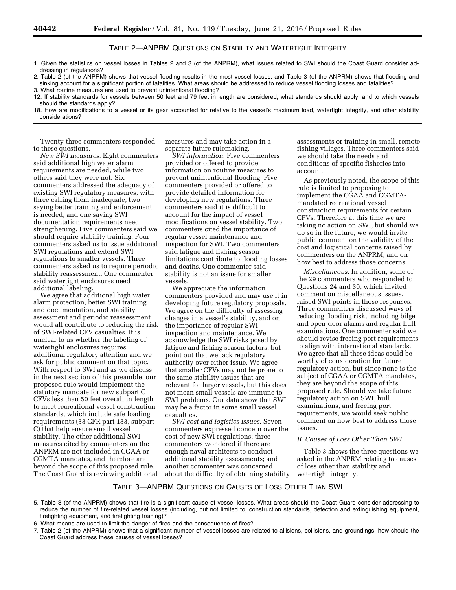#### TABLE 2—ANPRM QUESTIONS ON STABILITY AND WATERTIGHT INTEGRITY

1. Given the statistics on vessel losses in Tables 2 and 3 (of the ANPRM), what issues related to SWI should the Coast Guard consider addressing in regulations?

2. Table 2 (of the ANPRM) shows that vessel flooding results in the most vessel losses, and Table 3 (of the ANPRM) shows that flooding and sinking account for a significant portion of fatalities. What areas should be addressed to reduce vessel flooding losses and fatalities? 3. What routine measures are used to prevent unintentional flooding?

12. If stability standards for vessels between 50 feet and 79 feet in length are considered, what standards should apply, and to which vessels should the standards apply?

18. How are modifications to a vessel or its gear accounted for relative to the vessel's maximum load, watertight integrity, and other stability considerations?

Twenty-three commenters responded to these questions.

*New SWI measures.* Eight commenters said additional high water alarm requirements are needed, while two others said they were not. Six commenters addressed the adequacy of existing SWI regulatory measures, with three calling them inadequate, two saying better training and enforcement is needed, and one saying SWI documentation requirements need strengthening. Five commenters said we should require stability training. Four commenters asked us to issue additional SWI regulations and extend SWI regulations to smaller vessels. Three commenters asked us to require periodic stability reassessment. One commenter said watertight enclosures need additional labeling.

We agree that additional high water alarm protection, better SWI training and documentation, and stability assessment and periodic reassessment would all contribute to reducing the risk of SWI-related CFV casualties. It is unclear to us whether the labeling of watertight enclosures requires additional regulatory attention and we ask for public comment on that topic. With respect to SWI and as we discuss in the next section of this preamble, our proposed rule would implement the statutory mandate for new subpart C CFVs less than 50 feet overall in length to meet recreational vessel construction standards, which include safe loading requirements (33 CFR part 183, subpart C) that help ensure small vessel stability. The other additional SWI measures cited by commenters on the ANPRM are not included in CGAA or CGMTA mandates, and therefore are beyond the scope of this proposed rule. The Coast Guard is reviewing additional measures and may take action in a separate future rulemaking.

*SWI information.* Five commenters provided or offered to provide information on routine measures to prevent unintentional flooding. Five commenters provided or offered to provide detailed information for developing new regulations. Three commenters said it is difficult to account for the impact of vessel modifications on vessel stability. Two commenters cited the importance of regular vessel maintenance and inspection for SWI. Two commenters said fatigue and fishing season limitations contribute to flooding losses and deaths. One commenter said stability is not an issue for smaller vessels.

We appreciate the information commenters provided and may use it in developing future regulatory proposals. We agree on the difficulty of assessing changes in a vessel's stability, and on the importance of regular SWI inspection and maintenance. We acknowledge the SWI risks posed by fatigue and fishing season factors, but point out that we lack regulatory authority over either issue. We agree that smaller CFVs may not be prone to the same stability issues that are relevant for larger vessels, but this does not mean small vessels are immune to SWI problems. Our data show that SWI may be a factor in some small vessel casualties.

*SWI cost and logistics issues.* Seven commenters expressed concern over the cost of new SWI regulations; three commenters wondered if there are enough naval architects to conduct additional stability assessments; and another commenter was concerned about the difficulty of obtaining stability

assessments or training in small, remote fishing villages. Three commenters said we should take the needs and conditions of specific fisheries into account.

As previously noted, the scope of this rule is limited to proposing to implement the CGAA and CGMTAmandated recreational vessel construction requirements for certain CFVs. Therefore at this time we are taking no action on SWI, but should we do so in the future, we would invite public comment on the validity of the cost and logistical concerns raised by commenters on the ANPRM, and on how best to address those concerns.

*Miscellaneous.* In addition, some of the 29 commenters who responded to Questions 24 and 30, which invited comment on miscellaneous issues, raised SWI points in those responses. Three commenters discussed ways of reducing flooding risk, including bilge and open-door alarms and regular hull examinations. One commenter said we should revise freeing port requirements to align with international standards. We agree that all these ideas could be worthy of consideration for future regulatory action, but since none is the subject of CGAA or CGMTA mandates, they are beyond the scope of this proposed rule. Should we take future regulatory action on SWI, hull examinations, and freeing port requirements, we would seek public comment on how best to address those issues.

#### *B. Causes of Loss Other Than SWI*

Table 3 shows the three questions we asked in the ANPRM relating to causes of loss other than stability and watertight integrity.

#### TABLE 3—ANPRM QUESTIONS ON CAUSES OF LOSS OTHER THAN SWI

<sup>5.</sup> Table 3 (of the ANPRM) shows that fire is a significant cause of vessel losses. What areas should the Coast Guard consider addressing to reduce the number of fire-related vessel losses (including, but not limited to, construction standards, detection and extinguishing equipment, firefighting equipment, and firefighting training)?

<sup>6.</sup> What means are used to limit the danger of fires and the consequence of fires?

<sup>7.</sup> Table 2 (of the ANPRM) shows that a significant number of vessel losses are related to allisions, collisions, and groundings; how should the Coast Guard address these causes of vessel losses?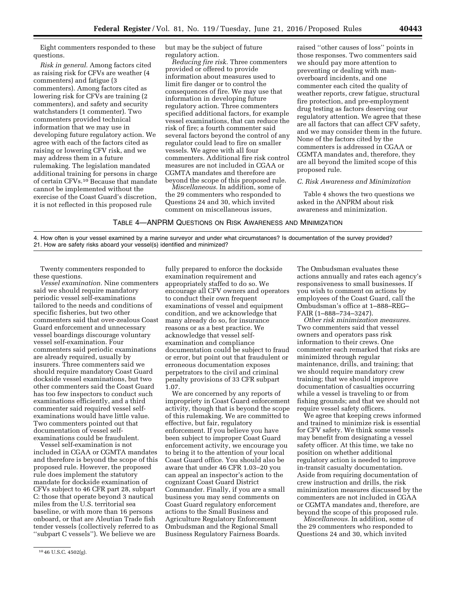Eight commenters responded to these questions.

*Risk in general.* Among factors cited as raising risk for CFVs are weather (4 commenters) and fatigue (3 commenters). Among factors cited as lowering risk for CFVs are training (2 commenters), and safety and security watchstanders (1 commenter). Two commenters provided technical information that we may use in developing future regulatory action. We agree with each of the factors cited as raising or lowering CFV risk, and we may address them in a future rulemaking. The legislation mandated additional training for persons in charge of certain CFVs.10 Because that mandate cannot be implemented without the exercise of the Coast Guard's discretion, it is not reflected in this proposed rule

but may be the subject of future regulatory action.

*Reducing fire risk.* Three commenters provided or offered to provide information about measures used to limit fire danger or to control the consequences of fire. We may use that information in developing future regulatory action. Three commenters specified additional factors, for example vessel examinations, that can reduce the risk of fire; a fourth commenter said several factors beyond the control of any regulator could lead to fire on smaller vessels. We agree with all four commenters. Additional fire risk control measures are not included in CGAA or CGMTA mandates and therefore are beyond the scope of this proposed rule.

*Miscellaneous.* In addition, some of the 29 commenters who responded to Questions 24 and 30, which invited comment on miscellaneous issues,

raised ''other causes of loss'' points in those responses. Two commenters said we should pay more attention to preventing or dealing with manoverboard incidents, and one commenter each cited the quality of weather reports, crew fatigue, structural fire protection, and pre-employment drug testing as factors deserving our regulatory attention. We agree that these are all factors that can affect CFV safety, and we may consider them in the future. None of the factors cited by the commenters is addressed in CGAA or CGMTA mandates and, therefore, they are all beyond the limited scope of this proposed rule.

#### *C. Risk Awareness and Minimization*

Table 4 shows the two questions we asked in the ANPRM about risk awareness and minimization.

TABLE 4—ANPRM QUESTIONS ON RISK AWARENESS AND MINIMIZATION

4. How often is your vessel examined by a marine surveyor and under what circumstances? Is documentation of the survey provided? 21. How are safety risks aboard your vessel(s) identified and minimized?

Twenty commenters responded to these questions.

*Vessel examination.* Nine commenters said we should require mandatory periodic vessel self-examinations tailored to the needs and conditions of specific fisheries, but two other commenters said that over-zealous Coast Guard enforcement and unnecessary vessel boardings discourage voluntary vessel self-examination. Four commenters said periodic examinations are already required, usually by insurers. Three commenters said we should require mandatory Coast Guard dockside vessel examinations, but two other commenters said the Coast Guard has too few inspectors to conduct such examinations efficiently, and a third commenter said required vessel selfexaminations would have little value. Two commenters pointed out that documentation of vessel selfexaminations could be fraudulent.

Vessel self-examination is not included in CGAA or CGMTA mandates and therefore is beyond the scope of this proposed rule. However, the proposed rule does implement the statutory mandate for dockside examination of CFVs subject to 46 CFR part 28, subpart C: those that operate beyond 3 nautical miles from the U.S. territorial sea baseline, or with more than 16 persons onboard, or that are Aleutian Trade fish tender vessels (collectively referred to as ''subpart C vessels''). We believe we are

10 46 U.S.C. 4502(g).

fully prepared to enforce the dockside examination requirement and appropriately staffed to do so. We encourage all CFV owners and operators to conduct their own frequent examinations of vessel and equipment condition, and we acknowledge that many already do so, for insurance reasons or as a best practice. We acknowledge that vessel selfexamination and compliance documentation could be subject to fraud or error, but point out that fraudulent or erroneous documentation exposes perpetrators to the civil and criminal penalty provisions of 33 CFR subpart 1.07.

We are concerned by any reports of impropriety in Coast Guard enforcement activity, though that is beyond the scope of this rulemaking. We are committed to effective, but fair, regulatory enforcement. If you believe you have been subject to improper Coast Guard enforcement activity, we encourage you to bring it to the attention of your local Coast Guard office. You should also be aware that under 46 CFR 1.03–20 you can appeal an inspector's action to the cognizant Coast Guard District Commander. Finally, if you are a small business you may send comments on Coast Guard regulatory enforcement actions to the Small Business and Agriculture Regulatory Enforcement Ombudsman and the Regional Small Business Regulatory Fairness Boards.

The Ombudsman evaluates these actions annually and rates each agency's responsiveness to small businesses. If you wish to comment on actions by employees of the Coast Guard, call the Ombudsman's office at 1–888–REG– FAIR (1–888–734–3247).

*Other risk minimization measures.*  Two commenters said that vessel owners and operators pass risk information to their crews. One commenter each remarked that risks are minimized through regular maintenance, drills, and training; that we should require mandatory crew training; that we should improve documentation of casualties occurring while a vessel is traveling to or from fishing grounds; and that we should not require vessel safety officers.

We agree that keeping crews informed and trained to minimize risk is essential for CFV safety. We think some vessels may benefit from designating a vessel safety officer. At this time, we take no position on whether additional regulatory action is needed to improve in-transit casualty documentation. Aside from requiring documentation of crew instruction and drills, the risk minimization measures discussed by the commenters are not included in CGAA or CGMTA mandates and, therefore, are beyond the scope of this proposed rule.

*Miscellaneous.* In addition, some of the 29 commenters who responded to Questions 24 and 30, which invited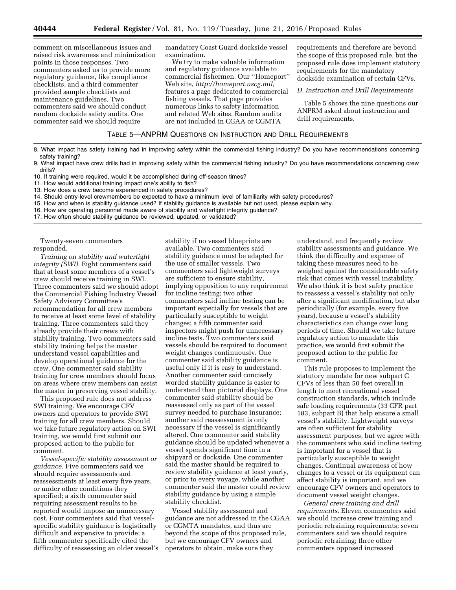comment on miscellaneous issues and raised risk awareness and minimization points in those responses. Two commenters asked us to provide more regulatory guidance, like compliance checklists, and a third commenter provided sample checklists and maintenance guidelines. Two commenters said we should conduct random dockside safety audits. One commenter said we should require

mandatory Coast Guard dockside vessel examination.

We try to make valuable information and regulatory guidance available to commercial fishermen. Our ''Homeport'' Web site, *[http://homeport.uscg.mil,](http://homeport.uscg.mil)*  features a page dedicated to commercial fishing vessels. That page provides numerous links to safety information and related Web sites. Random audits are not included in CGAA or CGMTA

requirements and therefore are beyond the scope of this proposed rule, but the proposed rule does implement statutory requirements for the mandatory dockside examination of certain CFVs.

*D. Instruction and Drill Requirements* 

Table 5 shows the nine questions our ANPRM asked about instruction and drill requirements.

#### TABLE 5—ANPRM QUESTIONS ON INSTRUCTION AND DRILL REQUIREMENTS

- 8. What impact has safety training had in improving safety within the commercial fishing industry? Do you have recommendations concerning safety training?
- 9. What impact have crew drills had in improving safety within the commercial fishing industry? Do you have recommendations concerning crew drills?
- 10. If training were required, would it be accomplished during off-season times?
- 11. How would additional training impact one's ability to fish?
- 13. How does a crew become experienced in safety procedures?
- 14. Should entry-level crewmembers be expected to have a minimum level of familiarity with safety procedures?
- 15. How and when is stability guidance used? If stability guidance is available but not used, please explain why.
- 16. How are operating personnel made aware of stability and watertight integrity guidance?
- 17. How often should stability guidance be reviewed, updated, or validated?

Twenty-seven commenters responded.

*Training on stability and watertight integrity (SWI).* Eight commenters said that at least some members of a vessel's crew should receive training in SWI. Three commenters said we should adopt the Commercial Fishing Industry Vessel Safety Advisory Committee's recommendation for all crew members to receive at least some level of stability training. Three commenters said they already provide their crews with stability training. Two commenters said stability training helps the master understand vessel capabilities and develop operational guidance for the crew. One commenter said stability training for crew members should focus on areas where crew members can assist the master in preserving vessel stability.

This proposed rule does not address SWI training. We encourage CFV owners and operators to provide SWI training for all crew members. Should we take future regulatory action on SWI training, we would first submit our proposed action to the public for comment.

*Vessel-specific stability assessment or guidance.* Five commenters said we should require assessments and reassessments at least every five years, or under other conditions they specified; a sixth commenter said requiring assessment results to be reported would impose an unnecessary cost. Four commenters said that vesselspecific stability guidance is logistically difficult and expensive to provide; a fifth commenter specifically cited the difficulty of reassessing an older vessel's

stability if no vessel blueprints are available. Two commenters said stability guidance must be adapted for the use of smaller vessels. Two commenters said lightweight surveys are sufficient to ensure stability, implying opposition to any requirement for incline testing; two other commenters said incline testing can be important especially for vessels that are particularly susceptible to weight changes; a fifth commenter said inspectors might push for unnecessary incline tests. Two commenters said vessels should be required to document weight changes continuously. One commenter said stability guidance is useful only if it is easy to understand. Another commenter said concisely worded stability guidance is easier to understand than pictorial displays. One commenter said stability should be reassessed only as part of the vessel survey needed to purchase insurance; another said reassessment is only necessary if the vessel is significantly altered. One commenter said stability guidance should be updated whenever a vessel spends significant time in a shipyard or dockside. One commenter said the master should be required to review stability guidance at least yearly, or prior to every voyage, while another commenter said the master could review stability guidance by using a simple stability checklist.

Vessel stability assessment and guidance are not addressed in the CGAA or CGMTA mandates, and thus are beyond the scope of this proposed rule, but we encourage CFV owners and operators to obtain, make sure they

understand, and frequently review stability assessments and guidance. We think the difficulty and expense of taking these measures need to be weighed against the considerable safety risk that comes with vessel instability. We also think it is best safety practice to reassess a vessel's stability not only after a significant modification, but also periodically (for example, every five years), because a vessel's stability characteristics can change over long periods of time. Should we take future regulatory action to mandate this practice, we would first submit the proposed action to the public for comment.

This rule proposes to implement the statutory mandate for new subpart C CFVs of less than 50 feet overall in length to meet recreational vessel construction standards, which include safe loading requirements (33 CFR part 183, subpart B) that help ensure a small vessel's stability. Lightweight surveys are often sufficient for stability assessment purposes, but we agree with the commenters who said incline testing is important for a vessel that is particularly susceptible to weight changes. Continual awareness of how changes to a vessel or its equipment can affect stability is important, and we encourage CFV owners and operators to document vessel weight changes.

*General crew training and drill requirements.* Eleven commenters said we should increase crew training and periodic retraining requirements; seven commenters said we should require periodic retraining; three other commenters opposed increased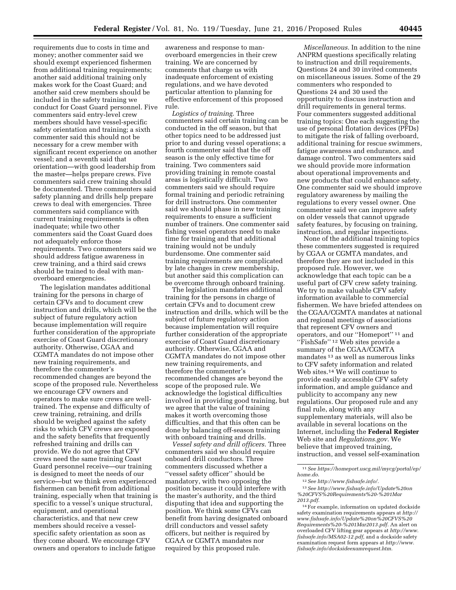requirements due to costs in time and money; another commenter said we should exempt experienced fishermen from additional training requirements; another said additional training only makes work for the Coast Guard; and another said crew members should be included in the safety training we conduct for Coast Guard personnel. Five commenters said entry-level crew members should have vessel-specific safety orientation and training; a sixth commenter said this should not be necessary for a crew member with significant recent experience on another vessel; and a seventh said that orientation—with good leadership from the master—helps prepare crews. Five commenters said crew training should be documented. Three commenters said safety planning and drills help prepare crews to deal with emergencies. Three commenters said compliance with current training requirements is often inadequate; while two other commenters said the Coast Guard does not adequately enforce those requirements. Two commenters said we should address fatigue awareness in crew training, and a third said crews should be trained to deal with manoverboard emergencies.

The legislation mandates additional training for the persons in charge of certain CFVs and to document crew instruction and drills, which will be the subject of future regulatory action because implementation will require further consideration of the appropriate exercise of Coast Guard discretionary authority. Otherwise, CGAA and CGMTA mandates do not impose other new training requirements, and therefore the commenter's recommended changes are beyond the scope of the proposed rule. Nevertheless we encourage CFV owners and operators to make sure crews are welltrained. The expense and difficulty of crew training, retraining, and drills should be weighed against the safety risks to which CFV crews are exposed and the safety benefits that frequently refreshed training and drills can provide. We do not agree that CFV crews need the same training Coast Guard personnel receive—our training is designed to meet the needs of our service—but we think even experienced fishermen can benefit from additional training, especially when that training is specific to a vessel's unique structural, equipment, and operational characteristics, and that new crew members should receive a vesselspecific safety orientation as soon as they come aboard. We encourage CFV owners and operators to include fatigue

awareness and response to manoverboard emergencies in their crew training. We are concerned by comments that charge us with inadequate enforcement of existing regulations, and we have devoted particular attention to planning for effective enforcement of this proposed rule.

*Logistics of training.* Three commenters said certain training can be conducted in the off season, but that other topics need to be addressed just prior to and during vessel operations; a fourth commenter said that the off season is the only effective time for training. Two commenters said providing training in remote coastal areas is logistically difficult. Two commenters said we should require formal training and periodic retraining for drill instructors. One commenter said we should phase in new training requirements to ensure a sufficient number of trainers. One commenter said fishing vessel operators need to make time for training and that additional training would not be unduly burdensome. One commenter said training requirements are complicated by late changes in crew membership, but another said this complication can be overcome through onboard training.

The legislation mandates additional training for the persons in charge of certain CFVs and to document crew instruction and drills, which will be the subject of future regulatory action because implementation will require further consideration of the appropriate exercise of Coast Guard discretionary authority. Otherwise, CGAA and CGMTA mandates do not impose other new training requirements, and therefore the commenter's recommended changes are beyond the scope of the proposed rule. We acknowledge the logistical difficulties involved in providing good training, but we agree that the value of training makes it worth overcoming those difficulties, and that this often can be done by balancing off-season training with onboard training and drills.

*Vessel safety and drill officers.* Three commenters said we should require onboard drill conductors. Three commenters discussed whether a ''vessel safety officer'' should be mandatory, with two opposing the position because it could interfere with the master's authority, and the third disputing that idea and supporting the position. We think some CFVs can benefit from having designated onboard drill conductors and vessel safety officers, but neither is required by CGAA or CGMTA mandates nor required by this proposed rule.

*Miscellaneous.* In addition to the nine ANPRM questions specifically relating to instruction and drill requirements, Questions 24 and 30 invited comments on miscellaneous issues. Some of the 29 commenters who responded to Questions 24 and 30 used the opportunity to discuss instruction and drill requirements in general terms. Four commenters suggested additional training topics: One each suggesting the use of personal flotation devices (PFDs) to mitigate the risk of falling overboard, additional training for rescue swimmers, fatigue awareness and endurance, and damage control. Two commenters said we should provide more information about operational improvements and new products that could enhance safety. One commenter said we should improve regulatory awareness by mailing the regulations to every vessel owner. One commenter said we can improve safety on older vessels that cannot upgrade safety features, by focusing on training, instruction, and regular inspections.

None of the additional training topics these commenters suggested is required by CGAA or CGMTA mandates, and therefore they are not included in this proposed rule. However, we acknowledge that each topic can be a useful part of CFV crew safety training. We try to make valuable CFV safety information available to commercial fishermen. We have briefed attendees on the CGAA/CGMTA mandates at national and regional meetings of associations that represent CFV owners and operators, and our ''Homeport'' 11 and ''FishSafe'' 12 Web sites provide a summary of the CGAA/CGMTA mandates 13 as well as numerous links to CFV safety information and related Web sites.14 We will continue to provide easily accessible CFV safety information, and ample guidance and publicity to accompany any new regulations. Our proposed rule and any final rule, along with any supplementary materials, will also be available in several locations on the Internet, including the **Federal Register**  Web site and *Regulations.gov*. We believe that improved training, instruction, and vessel self-examination

<sup>11</sup>*See [https://homeport.uscg.mil/mycg/portal/ep/](https://homeport.uscg.mil/mycg/portal/ep/home.do) [home.do.](https://homeport.uscg.mil/mycg/portal/ep/home.do)* 

<sup>12</sup>*See [http://www.fishsafe.info/.](http://www.fishsafe.info/)* 

<sup>13</sup>*See [http://www.fishsafe.info/Update%20on](http://www.fishsafe.info/Update%20on%20CFVS%20Requirements%20-%201Mar2013.pdf) [%20CFVS%20Requirements%20-%201Mar](http://www.fishsafe.info/Update%20on%20CFVS%20Requirements%20-%201Mar2013.pdf) [2013.pdf.](http://www.fishsafe.info/Update%20on%20CFVS%20Requirements%20-%201Mar2013.pdf)* 

<sup>14</sup>For example, information on updated dockside safety examination requirements appears at *[http://](http://www.fishsafe.info/Update%20on%20CFVS%20Requirements%20-%201Mar2013.pdf) [www.fishsafe.info/Update%20on%20CFVS%20](http://www.fishsafe.info/Update%20on%20CFVS%20Requirements%20-%201Mar2013.pdf) [Requirements%20-%201Mar2013.pdf.](http://www.fishsafe.info/Update%20on%20CFVS%20Requirements%20-%201Mar2013.pdf)* An alert on overloaded CFV lifting gear appears at *[http://www.](http://www.fishsafe.info/MSA02-12.pdf) [fishsafe.info/MSA02-12.pdf,](http://www.fishsafe.info/MSA02-12.pdf)* and a dockside safety examination request form appears at *[http://www.](http://www.fishsafe.info/docksideexamrequest.htm) [fishsafe.info/docksideexamrequest.htm.](http://www.fishsafe.info/docksideexamrequest.htm)*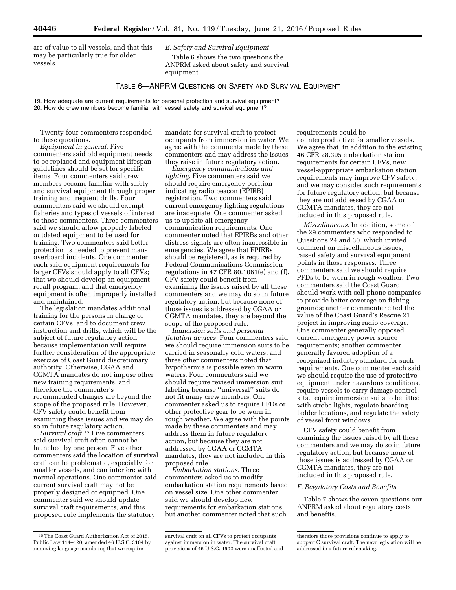are of value to all vessels, and that this may be particularly true for older vessels.

*E. Safety and Survival Equipment* 

Table 6 shows the two questions the ANPRM asked about safety and survival equipment.

#### TABLE 6—ANPRM QUESTIONS ON SAFETY AND SURVIVAL EQUIPMENT

19. How adequate are current requirements for personal protection and survival equipment? 20. How do crew members become familiar with vessel safety and survival equipment?

Twenty-four commenters responded to these questions.

*Equipment in general.* Five commenters said old equipment needs to be replaced and equipment lifespan guidelines should be set for specific items. Four commenters said crew members become familiar with safety and survival equipment through proper training and frequent drills. Four commenters said we should exempt fisheries and types of vessels of interest to those commenters. Three commenters said we should allow properly labeled outdated equipment to be used for training. Two commenters said better protection is needed to prevent manoverboard incidents. One commenter each said equipment requirements for larger CFVs should apply to all CFVs; that we should develop an equipment recall program; and that emergency equipment is often improperly installed and maintained.

The legislation mandates additional training for the persons in charge of certain CFVs, and to document crew instruction and drills, which will be the subject of future regulatory action because implementation will require further consideration of the appropriate exercise of Coast Guard discretionary authority. Otherwise, CGAA and CGMTA mandates do not impose other new training requirements, and therefore the commenter's recommended changes are beyond the scope of the proposed rule. However, CFV safety could benefit from examining these issues and we may do so in future regulatory action.

*Survival craft.*15 Five commenters said survival craft often cannot be launched by one person. Five other commenters said the location of survival craft can be problematic, especially for smaller vessels, and can interfere with normal operations. One commenter said current survival craft may not be properly designed or equipped. One commenter said we should update survival craft requirements, and this proposed rule implements the statutory

mandate for survival craft to protect occupants from immersion in water. We agree with the comments made by these commenters and may address the issues they raise in future regulatory action.

*Emergency communications and lighting.* Five commenters said we should require emergency position indicating radio beacon (EPIRB) registration. Two commenters said current emergency lighting regulations are inadequate. One commenter asked us to update all emergency communication requirements. One commenter noted that EPIRBs and other distress signals are often inaccessible in emergencies. We agree that EPIRBs should be registered, as is required by Federal Communications Commission regulations in 47 CFR 80.1061(e) and (f). CFV safety could benefit from examining the issues raised by all these commenters and we may do so in future regulatory action, but because none of those issues is addressed by CGAA or CGMTA mandates, they are beyond the scope of the proposed rule.

*Immersion suits and personal flotation devices.* Four commenters said we should require immersion suits to be carried in seasonally cold waters, and three other commenters noted that hypothermia is possible even in warm waters. Four commenters said we should require revised immersion suit labeling because ''universal'' suits do not fit many crew members. One commenter asked us to require PFDs or other protective gear to be worn in rough weather. We agree with the points made by these commenters and may address them in future regulatory action, but because they are not addressed by CGAA or CGMTA mandates, they are not included in this proposed rule.

*Embarkation stations.* Three commenters asked us to modify embarkation station requirements based on vessel size. One other commenter said we should develop new requirements for embarkation stations, but another commenter noted that such

requirements could be counterproductive for smaller vessels. We agree that, in addition to the existing 46 CFR 28.395 embarkation station requirements for certain CFVs, new vessel-appropriate embarkation station requirements may improve CFV safety, and we may consider such requirements for future regulatory action, but because they are not addressed by CGAA or CGMTA mandates, they are not included in this proposed rule.

*Miscellaneous.* In addition, some of the 29 commenters who responded to Questions 24 and 30, which invited comment on miscellaneous issues, raised safety and survival equipment points in those responses. Three commenters said we should require PFDs to be worn in rough weather. Two commenters said the Coast Guard should work with cell phone companies to provide better coverage on fishing grounds; another commenter cited the value of the Coast Guard's Rescue 21 project in improving radio coverage. One commenter generally opposed current emergency power source requirements; another commenter generally favored adoption of a recognized industry standard for such requirements. One commenter each said we should require the use of protective equipment under hazardous conditions, require vessels to carry damage control kits, require immersion suits to be fitted with strobe lights, regulate boarding ladder locations, and regulate the safety of vessel front windows.

CFV safety could benefit from examining the issues raised by all these commenters and we may do so in future regulatory action, but because none of those issues is addressed by CGAA or CGMTA mandates, they are not included in this proposed rule.

#### *F. Regulatory Costs and Benefits*

Table 7 shows the seven questions our ANPRM asked about regulatory costs and benefits.

<sup>15</sup>The Coast Guard Authorization Act of 2015, Public Law 114–120, amended 46 U.S.C. 3104 by removing language mandating that we require

survival craft on all CFVs to protect occupants against immersion in water. The survival craft provisions of 46 U.S.C. 4502 were unaffected and

therefore those provisions continue to apply to subpart C survival craft. The new legislation will be addressed in a future rulemaking.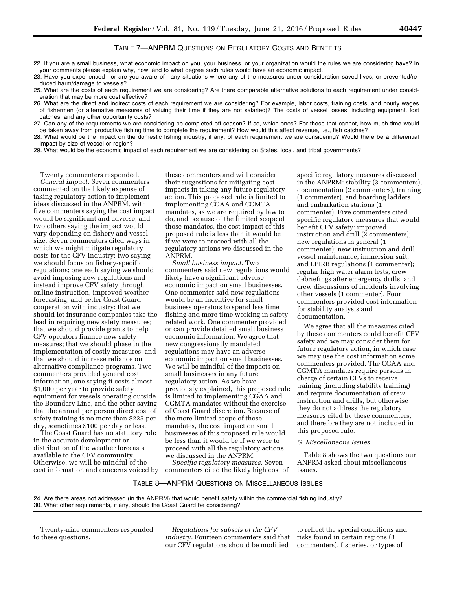#### TABLE 7—ANPRM QUESTIONS ON REGULATORY COSTS AND BENEFITS

22. If you are a small business, what economic impact on you, your business, or your organization would the rules we are considering have? In your comments please explain why, how, and to what degree such rules would have an economic impact.

23. Have you experienced—or are you aware of—any situations where any of the measures under consideration saved lives, or prevented/reduced harm/damage to vessels?

25. What are the costs of each requirement we are considering? Are there comparable alternative solutions to each requirement under consideration that may be more cost effective?

26. What are the direct and indirect costs of each requirement we are considering? For example, labor costs, training costs, and hourly wages of fishermen (or alternative measures of valuing their time if they are not salaried)? The costs of vessel losses, including equipment, lost catches, and any other opportunity costs?

27. Can any of the requirements we are considering be completed off-season? If so, which ones? For those that cannot, how much time would be taken away from productive fishing time to complete the requirement? How would this affect revenue, i.e., fish catches?

28. What would be the impact on the domestic fishing industry, if any, of each requirement we are considering? Would there be a differential impact by size of vessel or region?

29. What would be the economic impact of each requirement we are considering on States, local, and tribal governments?

Twenty commenters responded. *General impact.* Seven commenters commented on the likely expense of taking regulatory action to implement ideas discussed in the ANPRM, with five commenters saying the cost impact would be significant and adverse, and two others saying the impact would vary depending on fishery and vessel size. Seven commenters cited ways in which we might mitigate regulatory costs for the CFV industry: two saying we should focus on fishery-specific regulations; one each saying we should avoid imposing new regulations and instead improve CFV safety through online instruction, improved weather forecasting, and better Coast Guard cooperation with industry; that we should let insurance companies take the lead in requiring new safety measures; that we should provide grants to help CFV operators finance new safety measures; that we should phase in the implementation of costly measures; and that we should increase reliance on alternative compliance programs. Two commenters provided general cost information, one saying it costs almost \$1,000 per year to provide safety equipment for vessels operating outside the Boundary Line, and the other saying that the annual per person direct cost of safety training is no more than \$225 per day, sometimes \$100 per day or less.

The Coast Guard has no statutory role in the accurate development or distribution of the weather forecasts available to the CFV community. Otherwise, we will be mindful of the cost information and concerns voiced by these commenters and will consider their suggestions for mitigating cost impacts in taking any future regulatory action. This proposed rule is limited to implementing CGAA and CGMTA mandates, as we are required by law to do, and because of the limited scope of those mandates, the cost impact of this proposed rule is less than it would be if we were to proceed with all the regulatory actions we discussed in the ANPRM.

*Small business impact.* Two commenters said new regulations would likely have a significant adverse economic impact on small businesses. One commenter said new regulations would be an incentive for small business operators to spend less time fishing and more time working in safety related work. One commenter provided or can provide detailed small business economic information. We agree that new congressionally mandated regulations may have an adverse economic impact on small businesses. We will be mindful of the impacts on small businesses in any future regulatory action. As we have previously explained, this proposed rule is limited to implementing CGAA and CGMTA mandates without the exercise of Coast Guard discretion. Because of the more limited scope of those mandates, the cost impact on small businesses of this proposed rule would be less than it would be if we were to proceed with all the regulatory actions we discussed in the ANPRM.

*Specific regulatory measures.* Seven commenters cited the likely high cost of

specific regulatory measures discussed in the ANPRM: stability (3 commenters), documentation (2 commenters), training (1 commenter), and boarding ladders and embarkation stations (1 commenter). Five commenters cited specific regulatory measures that would benefit CFV safety: improved instruction and drill (2 commenters); new regulations in general (1 commenter); new instruction and drill, vessel maintenance, immersion suit, and EPIRB regulations (1 commenter); regular high water alarm tests, crew debriefings after emergency drills, and crew discussions of incidents involving other vessels (1 commenter). Four commenters provided cost information for stability analysis and documentation.

We agree that all the measures cited by these commenters could benefit CFV safety and we may consider them for future regulatory action, in which case we may use the cost information some commenters provided. The CGAA and CGMTA mandates require persons in charge of certain CFVs to receive training (including stability training) and require documentation of crew instruction and drills, but otherwise they do not address the regulatory measures cited by these commenters, and therefore they are not included in this proposed rule.

#### *G. Miscellaneous Issues*

Table 8 shows the two questions our ANPRM asked about miscellaneous issues.

#### TABLE 8—ANPRM QUESTIONS ON MISCELLANEOUS ISSUES

24. Are there areas not addressed (in the ANPRM) that would benefit safety within the commercial fishing industry? 30. What other requirements, if any, should the Coast Guard be considering?

Twenty-nine commenters responded to these questions.

*Regulations for subsets of the CFV industry.* Fourteen commenters said that our CFV regulations should be modified

to reflect the special conditions and risks found in certain regions (8 commenters), fisheries, or types of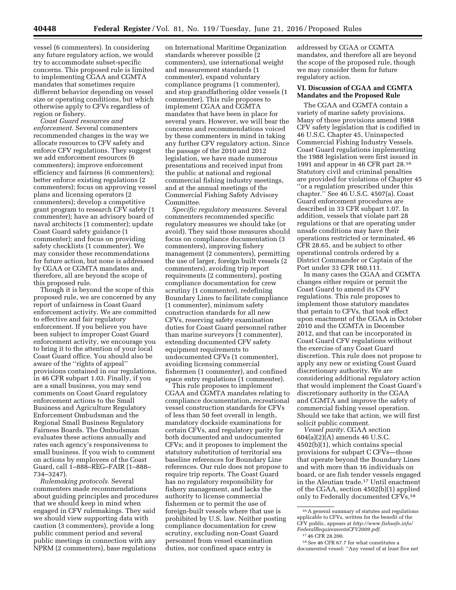vessel (6 commenters). In considering any future regulatory action, we would try to accommodate subset-specific concerns. This proposed rule is limited to implementing CGAA and CGMTA mandates that sometimes require different behavior depending on vessel size or operating conditions, but which otherwise apply to CFVs regardless of region or fishery.

*Coast Guard resources and enforcement.* Several commenters recommended changes in the way we allocate resources to CFV safety and enforce CFV regulations. They suggest we add enforcement resources (6 commenters); improve enforcement efficiency and fairness (6 commenters); better enforce existing regulations (2 commenters); focus on approving vessel plans and licensing operators (2 commenters); develop a competitive grant program to research CFV safety (1 commenter); have an advisory board of naval architects (1 commenter); update Coast Guard safety guidance (1 commenter); and focus on providing safety checklists (1 commenter). We may consider these recommendations for future action, but none is addressed by CGAA or CGMTA mandates and, therefore, all are beyond the scope of this proposed rule.

Though it is beyond the scope of this proposed rule, we are concerned by any report of unfairness in Coast Guard enforcement activity. We are committed to effective and fair regulatory enforcement. If you believe you have been subject to improper Coast Guard enforcement activity, we encourage you to bring it to the attention of your local Coast Guard office. You should also be aware of the ''rights of appeal'' provisions contained in our regulations, in 46 CFR subpart 1.03. Finally, if you are a small business, you may send comments on Coast Guard regulatory enforcement actions to the Small Business and Agriculture Regulatory Enforcement Ombudsman and the Regional Small Business Regulatory Fairness Boards. The Ombudsman evaluates these actions annually and rates each agency's responsiveness to small business. If you wish to comment on actions by employees of the Coast Guard, call 1–888–REG–FAIR (1–888– 734–3247).

*Rulemaking protocols.* Several commenters made recommendations about guiding principles and procedures that we should keep in mind when engaged in CFV rulemakings. They said we should view supporting data with caution (3 commenters), provide a long public comment period and several public meetings in connection with any NPRM (2 commenters), base regulations

on International Maritime Organization standards wherever possible (2 commenters), use international weight and measurement standards (1 commenter), expand voluntary compliance programs (1 commenter), and stop grandfathering older vessels (1 commenter). This rule proposes to implement CGAA and CGMTA mandates that have been in place for several years. However, we will bear the concerns and recommendations voiced by these commenters in mind in taking any further CFV regulatory action. Since the passage of the 2010 and 2012 legislation, we have made numerous presentations and received input from the public at national and regional commercial fishing industry meetings, and at the annual meetings of the Commercial Fishing Safety Advisory Committee.

*Specific regulatory measures.* Several commenters recommended specific regulatory measures we should take (or avoid). They said those measures should focus on compliance documentation (3 commenters), improving fishery management (2 commenters), permitting the use of larger, foreign built vessels (2 commenters), avoiding trip report requirements (2 commenters), posting compliance documentation for crew scrutiny (1 commenter), redefining Boundary Lines to facilitate compliance (1 commenter), minimum safety construction standards for all new CFVs, reserving safety examination duties for Coast Guard personnel rather than marine surveyors (1 commenter), extending documented CFV safety equipment requirements to undocumented CFVs (1 commenter), avoiding licensing commercial fishermen (1 commenter), and confined space entry regulations (1 commenter).

This rule proposes to implement CGAA and CGMTA mandates relating to compliance documentation, recreational vessel construction standards for CFVs of less than 50 feet overall in length, mandatory dockside examinations for certain CFVs, and regulatory parity for both documented and undocumented CFVs; and it proposes to implement the statutory substitution of territorial sea baseline references for Boundary Line references. Our rule does not propose to require trip reports. The Coast Guard has no regulatory responsibility for fishery management, and lacks the authority to license commercial fishermen or to permit the use of foreign-built vessels where that use is prohibited by U.S. law. Neither posting compliance documentation for crew scrutiny, excluding non-Coast Guard personnel from vessel examination duties, nor confined space entry is

addressed by CGAA or CGMTA mandates, and therefore all are beyond the scope of the proposed rule, though we may consider them for future regulatory action.

#### **VI. Discussion of CGAA and CGMTA Mandates and the Proposed Rule**

The CGAA and CGMTA contain a variety of marine safety provisions. Many of those provisions amend 1988 CFV safety legislation that is codified in 46 U.S.C. Chapter 45, Uninspected Commercial Fishing Industry Vessels. Coast Guard regulations implementing the 1988 legislation were first issued in 1991 and appear in 46 CFR part 28.16 Statutory civil and criminal penalties are provided for violations of Chapter 45 ''or a regulation prescribed under this chapter.'' See 46 U.S.C. 4507(a). Coast Guard enforcement procedures are described in 33 CFR subpart 1.07. In addition, vessels that violate part 28 regulations or that are operating under unsafe conditions may have their operations restricted or terminated, 46 CFR 28.65, and be subject to other operational controls ordered by a District Commander or Captain of the Port under 33 CFR 160.111.

In many cases the CGAA and CGMTA changes either require or permit the Coast Guard to amend its CFV regulations. This rule proposes to implement those statutory mandates that pertain to CFVs, that took effect upon enactment of the CGAA in October 2010 and the CGMTA in December 2012, and that can be incorporated in Coast Guard CFV regulations without the exercise of any Coast Guard discretion. This rule does not propose to apply any new or existing Coast Guard discretionary authority. We are considering additional regulatory action that would implement the Coast Guard's discretionary authority in the CGAA and CGMTA and improve the safety of commercial fishing vessel operation. Should we take that action, we will first solicit public comment.

*Vessel parity.* CGAA section 604(a)(2)(A) amends 46 U.S.C. 4502(b)(1), which contains special provisions for subpart C CFVs—those that operate beyond the Boundary Lines and with more than 16 individuals on board, or are fish tender vessels engaged in the Aleutian trade.17 Until enactment of the CGAA, section 4502(b)(1) applied only to Federally documented CFVs,<sup>18</sup>

<sup>16</sup>A general summary of statutes and regulations applicable to CFVs, written for the benefit of the CFV public, appears at *[http://www.fishsafe.info/](http://www.fishsafe.info/FederalRequirementsCFV2009.pdf) [FederalRequirementsCFV2009.pdf.](http://www.fishsafe.info/FederalRequirementsCFV2009.pdf)* 

<sup>17</sup> 46 CFR 28.200.

<sup>18</sup>*See* 46 CFR 67.7 for what constitutes a documented vessel: ''Any vessel of at least five net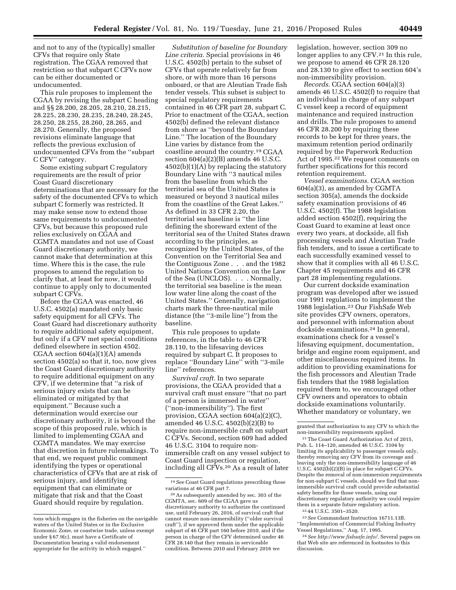and not to any of the (typically) smaller CFVs that require only State registration. The CGAA removed that restriction so that subpart C CFVs now can be either documented or undocumented.

This rule proposes to implement the CGAA by revising the subpart C heading and §§ 28.200, 28.205, 28.210, 28.215, 28.225, 28.230, 28.235, 28.240, 28.245, 28.250, 28.255, 28.260, 28.265, and 28.270. Generally, the proposed revisions eliminate language that reflects the previous exclusion of undocumented CFVs from the ''subpart C CFV'' category.

Some existing subpart C regulatory requirements are the result of prior Coast Guard discretionary determinations that are necessary for the safety of the documented CFVs to which subpart C formerly was restricted. It may make sense now to extend those same requirements to undocumented CFVs, but because this proposed rule relies exclusively on CGAA and CGMTA mandates and not use of Coast Guard discretionary authority, we cannot make that determination at this time. Where this is the case, the rule proposes to amend the regulation to clarify that, at least for now, it would continue to apply only to documented subpart C CFVs.

Before the CGAA was enacted, 46 U.S.C. 4502(a) mandated only basic safety equipment for all CFVs. The Coast Guard had discretionary authority to require additional safety equipment, but only if a CFV met special conditions defined elsewhere in section 4502. CGAA section 604(a)(1)(A) amends section 4502(a) so that it, too, now gives the Coast Guard discretionary authority to require additional equipment on any CFV, if we determine that ''a risk of serious injury exists that can be eliminated or mitigated by that equipment.'' Because such a determination would exercise our discretionary authority, it is beyond the scope of this proposed rule, which is limited to implementing CGAA and CGMTA mandates. We may exercise that discretion in future rulemakings. To that end, we request public comment identifying the types or operational characteristics of CFVs that are at risk of serious injury, and identifying equipment that can eliminate or mitigate that risk and that the Coast Guard should require by regulation.

*Substitution of baseline for Boundary Line criteria.* Special provisions in 46 U.S.C. 4502(b) pertain to the subset of CFVs that operate relatively far from shore, or with more than 16 persons onboard, or that are Aleutian Trade fish tender vessels. This subset is subject to special regulatory requirements contained in 46 CFR part 28, subpart C. Prior to enactment of the CGAA, section 4502(b) defined the relevant distance from shore as ''beyond the Boundary Line.'' The location of the Boundary Line varies by distance from the coastline around the country.19 CGAA section 604(a)(2)(B) amends 46 U.S.C.  $4502(b)(1)(A)$  by replacing the statutory Boundary Line with ''3 nautical miles from the baseline from which the territorial sea of the United States is measured or beyond 3 nautical miles from the coastline of the Great Lakes.'' As defined in 33 CFR 2.20, the territorial sea baseline is ''the line defining the shoreward extent of the territorial sea of the United States drawn according to the principles, as recognized by the United States, of the Convention on the Territorial Sea and the Contiguous Zone . . . and the 1982 United Nations Convention on the Law of the Sea (UNCLOS). . . . Normally, the territorial sea baseline is the mean low water line along the coast of the United States.'' Generally, navigation charts mark the three-nautical mile distance (the ''3-mile line'') from the baseline.

This rule proposes to update references, in the table to 46 CFR 28.110, to the lifesaving devices required by subpart C. It proposes to replace ''Boundary Line'' with ''3-mile line'' references.

*Survival craft.* In two separate provisions, the CGAA provided that a survival craft must ensure ''that no part of a person is immersed in water'' (''non-immersibility''). The first provision, CGAA section 604(a)(2)(C), amended 46 U.S.C. 4502(b)(2)(B) to require non-immersible craft on subpart C CFVs. Second, section 609 had added 46 U.S.C. 3104 to require nonimmersible craft on any vessel subject to Coast Guard inspection or regulation, including all CFVs.20 As a result of later

legislation, however, section 309 no longer applies to any CFV.21 In this rule, we propose to amend 46 CFR 28.120 and 28.130 to give effect to section 604's non-immersibility provision.

*Records.* CGAA section 604(a)(3) amends 46 U.S.C. 4502(f) to require that an individual in charge of any subpart C vessel keep a record of equipment maintenance and required instruction and drills. The rule proposes to amend 46 CFR 28.200 by requiring these records to be kept for three years, the maximum retention period ordinarily required by the Paperwork Reduction Act of 1995.22 We request comments on further specifications for this record retention requirement.

*Vessel examinations.* CGAA section 604(a)(3), as amended by CGMTA section 305(a), amends the dockside safety examination provisions of 46 U.S.C. 4502(f). The 1988 legislation added section 4502(f), requiring the Coast Guard to examine at least once every two years, at dockside, all fish processing vessels and Aleutian Trade fish tenders, and to issue a certificate to each successfully examined vessel to show that it complies with all 46 U.S.C. Chapter 45 requirements and 46 CFR part 28 implementing regulations.

Our current dockside examination program was developed after we issued our 1991 regulations to implement the 1988 legislation.23 Our FishSafe Web site provides CFV owners, operators, and personnel with information about dockside examinations.24 In general, examinations check for a vessel's lifesaving equipment, documentation, bridge and engine room equipment, and other miscellaneous required items. In addition to providing examinations for the fish processors and Aleutian Trade fish tenders that the 1988 legislation required them to, we encouraged other CFV owners and operators to obtain dockside examinations voluntarily. Whether mandatory or voluntary, we

23*See* Commandant Instruction 16711.13B, ''Implementation of Commercial Fishing Industry Vessel Regulations,'' Aug. 17, 1995.

24*See [http://www.fishsafe.info/.](http://www.fishsafe.info/)* Several pages on that Web site are referenced in footnotes to this discussion.

tons which engages in the fisheries on the navigable waters of the United States or in the Exclusive Economic Zone, or coastwise trade, unless exempt under § 67.9(c), must have a Certificate of Documentation bearing a valid endorsement appropriate for the activity in which engaged.''

<sup>19</sup>*See* Coast Guard regulations prescribing those variations at 46 CFR part 7.

<sup>20</sup>As subsequently amended by sec. 303 of the CGMTA, sec. 609 of the CGAA gave us discretionary authority to authorize the continued use, until February 26, 2016, of survival craft that cannot ensure non-immersibility (''older survival craft''), if we approved them under the applicable subpart of 46 CFR part 160 before 2010, and if the person in charge of the CFV determined under 46 CFR 28.140 that they remain in serviceable condition. Between 2010 and February 2016 we

granted that authorization to any CFV to which the non-immersibility requirements applied.

<sup>21</sup>The Coast Guard Authorization Act of 2015, Pub. L. 114–120, amended 46 U.S.C. 3104 by limiting its applicability to passenger vessels only, thereby removing any CFV from its coverage and leaving only the non-immersibility language of 46 U.S.C. 4502(b)(2)(B) in place for subpart C CFVs. Despite the removal of non-immersion requirements for non-subpart C vessels, should we find that nonimmersible survival craft could provide substantial safety benefits for those vessels, using our discretionary regulatory authority we could require them in a separate future regulatory action.

<sup>22</sup> 44 U.S.C. 3501–3520.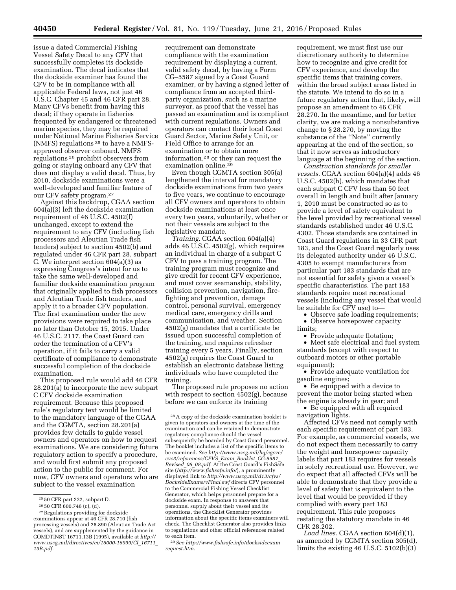issue a dated Commercial Fishing Vessel Safety Decal to any CFV that successfully completes its dockside examination. The decal indicates that the dockside examiner has found the CFV to be in compliance with all applicable Federal laws, not just 46 U.S.C. Chapter 45 and 46 CFR part 28. Many CFVs benefit from having this decal; if they operate in fisheries frequented by endangered or threatened marine species, they may be required under National Marine Fisheries Service (NMFS) regulations 25 to have a NMFSapproved observer onboard. NMFS regulations 26 prohibit observers from going or staying onboard any CFV that does not display a valid decal. Thus, by 2010, dockside examinations were a well-developed and familiar feature of our CFV safety program.27

Against this backdrop, CGAA section 604(a)(3) left the dockside examination requirement of 46 U.S.C. 4502(f) unchanged, except to extend the requirement to any CFV (including fish processors and Aleutian Trade fish tenders) subject to section 4502(b) and regulated under 46 CFR part 28, subpart C. We interpret section 604(a)(3) as expressing Congress's intent for us to take the same well-developed and familiar dockside examination program that originally applied to fish processors and Aleutian Trade fish tenders, and apply it to a broader CFV population. The first examination under the new provisions were required to take place no later than October 15, 2015. Under 46 U.S.C. 2117, the Coast Guard can order the termination of a CFV's operation, if it fails to carry a valid certificate of compliance to demonstrate successful completion of the dockside examination.

This proposed rule would add 46 CFR 28.201(a) to incorporate the new subpart C CFV dockside examination requirement. Because this proposed rule's regulatory text would be limited to the mandatory language of the CGAA and the CGMTA, section 28.201(a) provides few details to guide vessel owners and operators on how to request examinations. We are considering future regulatory action to specify a procedure, and would first submit any proposed action to the public for comment. For now, CFV owners and operators who are subject to the vessel examination

requirement can demonstrate compliance with the examination requirement by displaying a current, valid safety decal, by having a Form CG–5587 signed by a Coast Guard examiner, or by having a signed letter of compliance from an accepted thirdparty organization, such as a marine surveyor, as proof that the vessel has passed an examination and is compliant with current regulations. Owners and operators can contact their local Coast Guard Sector, Marine Safety Unit, or Field Office to arrange for an examination or to obtain more information,28 or they can request the examination online.29

Even though CGMTA section 305(a) lengthened the interval for mandatory dockside examinations from two years to five years, we continue to encourage all CFV owners and operators to obtain dockside examinations at least once every two years, voluntarily, whether or not their vessels are subject to the legislative mandate.

*Training.* CGAA section 604(a)(4) adds 46 U.S.C. 4502(g), which requires an individual in charge of a subpart C CFV to pass a training program. The training program must recognize and give credit for recent CFV experience, and must cover seamanship, stability, collision prevention, navigation, firefighting and prevention, damage control, personal survival, emergency medical care, emergency drills and communication, and weather. Section 4502(g) mandates that a certificate be issued upon successful completion of the training, and requires refresher training every 5 years. Finally, section 4502(g) requires the Coast Guard to establish an electronic database listing individuals who have completed the training.

The proposed rule proposes no action with respect to section 4502(g), because before we can enforce its training

29*See [http://www.fishsafe.info/docksideexam](http://www.fishsafe.info/docksideexamrequest.htm) [request.htm.](http://www.fishsafe.info/docksideexamrequest.htm)* 

requirement, we must first use our discretionary authority to determine how to recognize and give credit for CFV experience, and develop the specific items that training covers, within the broad subject areas listed in the statute. We intend to do so in a future regulatory action that, likely, will propose an amendment to 46 CFR 28.270. In the meantime, and for better clarity, we are making a nonsubstantive change to § 28.270, by moving the substance of the ''Note'' currently appearing at the end of the section, so that it now serves as introductory language at the beginning of the section.

*Construction standards for smaller vessels.* CGAA section 604(a)(4) adds 46 U.S.C. 4502(h), which mandates that each subpart C CFV less than 50 feet overall in length and built after January 1, 2010 must be constructed so as to provide a level of safety equivalent to the level provided by recreational vessel standards established under 46 U.S.C. 4302. Those standards are contained in Coast Guard regulations in 33 CFR part 183, and the Coast Guard regularly uses its delegated authority under 46 U.S.C. 4305 to exempt manufacturers from particular part 183 standards that are not essential for safety given a vessel's specific characteristics. The part 183 standards require most recreational vessels (including any vessel that would be suitable for CFV use) to—

• Observe safe loading requirements; • Observe horsepower capacity limits;

• Provide adequate flotation;

• Meet safe electrical and fuel system standards (except with respect to outboard motors or other portable equipment);

• Provide adequate ventilation for gasoline engines;

• Be equipped with a device to prevent the motor being started when the engine is already in gear; and

• Be equipped with all required navigation lights.

Affected CFVs need not comply with each specific requirement of part 183. For example, as commercial vessels, we do not expect them necessarily to carry the weight and horsepower capacity labels that part 183 requires for vessels in solely recreational use. However, we do expect that all affected CFVs will be able to demonstrate that they provide a level of safety that is equivalent to the level that would be provided if they complied with every part 183 requirement. This rule proposes restating the statutory mandate in 46 CFR 28.202.

*Load lines.* CGAA section 604(d)(1), as amended by CGMTA section 305(d), limits the existing 46 U.S.C. 5102(b)(3)

<sup>25</sup> 50 CFR part 222, subpart D.

<sup>26</sup> 50 CFR 600.746 (c), (d).

<sup>27</sup>Regulations providing for dockside examinations appear at 46 CFR 28.710 (fish processing vessels) and 28.890 (Aleutian Trade Act vessels), and are supplemented by the guidance in COMDTINST 16711.13B (1995), available at *[http://](http://www.uscg.mil/directives/ci/16000-16999/CI_16711_13B.pdf) [www.uscg.mil/directives/ci/16000-16999/CI](http://www.uscg.mil/directives/ci/16000-16999/CI_16711_13B.pdf)*\_*16711*\_ *[13B.pdf.](http://www.uscg.mil/directives/ci/16000-16999/CI_16711_13B.pdf)* 

<sup>28</sup>A copy of the dockside examination booklet is given to operators and owners at the time of the examination and can be retained to demonstrate regulatory compliance should the vessel subsequently be boarded by Coast Guard personnel. The booklet includes a list of the specific items to be examined. *See [http://www.uscg.mil/hq/cgcvc/](http://www.uscg.mil/hq/cgcvc/cvc3/references/CFVS_Exam_Booklet_CG-5587_Revised_06_08.pdf) [cvc3/references/CFVS](http://www.uscg.mil/hq/cgcvc/cvc3/references/CFVS_Exam_Booklet_CG-5587_Revised_06_08.pdf)*\_*Exam*\_*Booklet*\_*CG-5587*\_ *[Revised](http://www.uscg.mil/hq/cgcvc/cvc3/references/CFVS_Exam_Booklet_CG-5587_Revised_06_08.pdf)*\_*06*\_*08.pdf.* At the Coast Guard's FishSafe site (*<http://www.fishsafe.info/>*), a prominently displayed link to *[http://www.uscg.mil/d13/cfvs/](http://www.uscg.mil/d13/cfvs/DocksideExams/vFinal.swf) [DocksideExams/vFinal.swf](http://www.uscg.mil/d13/cfvs/DocksideExams/vFinal.swf)* directs CFV personnel to the Commercial Fishing Vessel Checklist Generator, which helps personnel prepare for a dockside exam. In response to answers that personnel supply about their vessel and its operations, the Checklist Generator provides information about the specific items examiners will check. The Checklist Generator also provides links to regulations and other official references related to each item.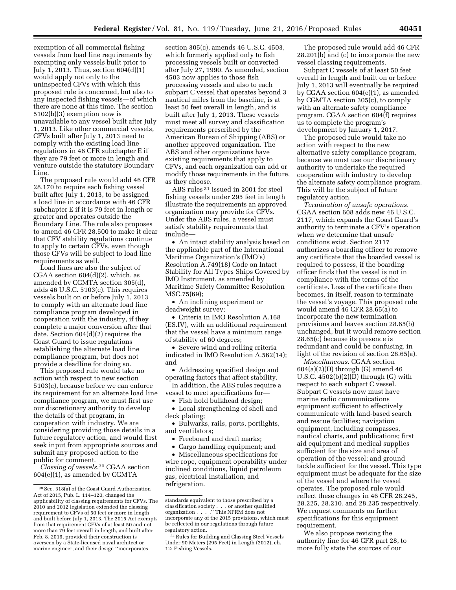exemption of all commercial fishing vessels from load line requirements by exempting only vessels built prior to July 1, 2013. Thus, section 604(d)(1) would apply not only to the uninspected CFVs with which this proposed rule is concerned, but also to any inspected fishing vessels—of which there are none at this time. The section 5102(b)(3) exemption now is unavailable to any vessel built after July 1, 2013. Like other commercial vessels, CFVs built after July 1, 2013 need to comply with the existing load line regulations in 46 CFR subchapter E if they are 79 feet or more in length and venture outside the statutory Boundary Line.

The proposed rule would add 46 CFR 28.170 to require each fishing vessel built after July 1, 2013, to be assigned a load line in accordance with 46 CFR subchapter E if it is 79 feet in length or greater and operates outside the Boundary Line. The rule also proposes to amend 46 CFR 28.500 to make it clear that CFV stability regulations continue to apply to certain CFVs, even though those CFVs will be subject to load line requirements as well.

Load lines are also the subject of CGAA section 604(d)(2), which, as amended by CGMTA section 305(d), adds 46 U.S.C. 5103(c). This requires vessels built on or before July 1, 2013 to comply with an alternate load line compliance program developed in cooperation with the industry, if they complete a major conversion after that date. Section 604(d)(2) requires the Coast Guard to issue regulations establishing the alternate load line compliance program, but does not provide a deadline for doing so.

This proposed rule would take no action with respect to new section 5103(c), because before we can enforce its requirement for an alternate load line compliance program, we must first use our discretionary authority to develop the details of that program, in cooperation with industry. We are considering providing those details in a future regulatory action, and would first seek input from appropriate sources and submit any proposed action to the public for comment.

*Classing of vessels.*30 CGAA section 604(e)(1), as amended by CGMTA

section 305(c), amends 46 U.S.C. 4503, which formerly applied only to fish processing vessels built or converted after July 27, 1990. As amended, section 4503 now applies to those fish processing vessels and also to each subpart C vessel that operates beyond 3 nautical miles from the baseline, is at least 50 feet overall in length, and is built after July 1, 2013. These vessels must meet all survey and classification requirements prescribed by the American Bureau of Shipping (ABS) or another approved organization. The ABS and other organizations have existing requirements that apply to CFVs, and each organization can add or modify those requirements in the future, as they choose.

ABS rules 31 issued in 2001 for steel fishing vessels under 295 feet in length illustrate the requirements an approved organization may provide for CFVs. Under the ABS rules, a vessel must satisfy stability requirements that include—

• An intact stability analysis based on the applicable part of the International Maritime Organization's (IMO's) Resolution A.749(18) Code on Intact Stability for All Types Ships Covered by IMO Instrument, as amended by Maritime Safety Committee Resolution MSC.75(69);

• An inclining experiment or deadweight survey;

• Criteria in IMO Resolution A.168 (ES.IV), with an additional requirement that the vessel have a minimum range of stability of 60 degrees;

• Severe wind and rolling criteria indicated in IMO Resolution A.562(14); and

• Addressing specified design and operating factors that affect stability.

In addition, the ABS rules require a vessel to meet specifications for—

• Fish hold bulkhead design;

• Local strengthening of shell and deck plating;

• Bulwarks, rails, ports, portlights, and ventilators;

- Freeboard and draft marks;
- Cargo handling equipment; and

• Miscellaneous specifications for wire rope, equipment operability under inclined conditions, liquid petroleum gas, electrical installation, and refrigeration.

The proposed rule would add 46 CFR 28.201(b) and (c) to incorporate the new vessel classing requirements.

Subpart C vessels of at least 50 feet overall in length and built on or before July 1, 2013 will eventually be required by CGAA section 604(e)(1), as amended by CGMTA section 305(c), to comply with an alternate safety compliance program. CGAA section 604(f) requires us to complete the program's development by January 1, 2017.

The proposed rule would take no action with respect to the new alternative safety compliance program, because we must use our discretionary authority to undertake the required cooperation with industry to develop the alternate safety compliance program. This will be the subject of future regulatory action.

*Termination of unsafe operations.*  CGAA section 608 adds new 46 U.S.C. 2117, which expands the Coast Guard's authority to terminate a CFV's operation when we determine that unsafe conditions exist. Section 2117 authorizes a boarding officer to remove any certificate that the boarded vessel is required to possess, if the boarding officer finds that the vessel is not in compliance with the terms of the certificate. Loss of the certificate then becomes, in itself, reason to terminate the vessel's voyage. This proposed rule would amend 46 CFR 28.65(a) to incorporate the new termination provisions and leaves section 28.65(b) unchanged, but it would remove section 28.65(c) because its presence is redundant and could be confusing, in light of the revision of section 28.65(a).

*Miscellaneous.* CGAA section 604(a)(2)(D) through (G) amend 46 U.S.C.  $4502(b)(2)(D)$  through (G) with respect to each subpart C vessel. Subpart C vessels now must have marine radio communications equipment sufficient to effectively communicate with land-based search and rescue facilities; navigation equipment, including compasses, nautical charts, and publications; first aid equipment and medical supplies sufficient for the size and area of operation of the vessel; and ground tackle sufficient for the vessel. This type equipment must be adequate for the size of the vessel and where the vessel operates. The proposed rule would reflect these changes in 46 CFR 28.245, 28.225, 28.210, and 28.235 respectively. We request comments on further specifications for this equipment requirement.

We also propose revising the authority line for 46 CFR part 28, to more fully state the sources of our

<sup>30</sup>Sec. 318(a) of the Coast Guard Authorization Act of 2015, Pub. L. 114–120, changed the applicability of classing requirements for CFVs. The 2010 and 2012 legislation extended the classing requirement to CFVs of 50 feet or more in length and built before July 1, 2013. The 2015 Act exempts from that requirement CFVs of at least 50 and not more than 79 feet overall in length, and built after Feb. 8, 2016, provided their construction is overseen by a State-licensed naval architect or marine engineer, and their design ''incorporates

standards equivalent to those prescribed by a classification society . . . or another qualified organization . . . .'' This NPRM does not incorporate any of the 2015 provisions, which must be reflected in our regulations through future regulatory action.

<sup>31</sup>Rules for Building and Classing Steel Vessels Under 90 Meters (295 Feet) in Length (2012), ch. 12: Fishing Vessels.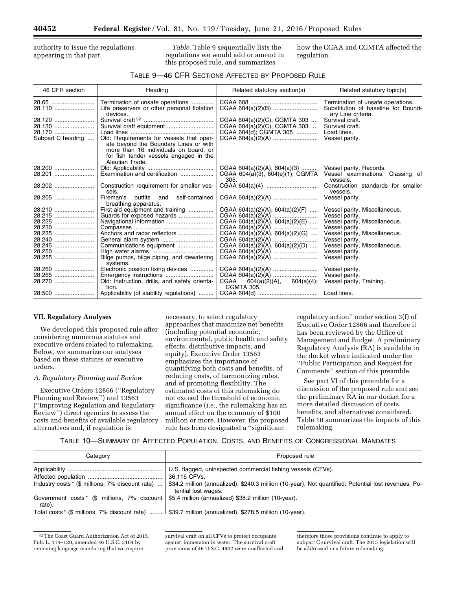authority to issue the regulations appearing in that part.

*Table.* Table 9 sequentially lists the regulations we would add or amend in this proposed rule, and summarizes

how the CGAA and CGMTA affected the regulation.

#### TABLE 9—46 CFR SECTIONS AFFECTED BY PROPOSED RULE

| 46 CFR section                                                                         | Heading                                                                                                                                                                                                             | Related statutory section(s)                                                                                                                                              | Related statutory topic(s)                                                                                                                                                                                                 |
|----------------------------------------------------------------------------------------|---------------------------------------------------------------------------------------------------------------------------------------------------------------------------------------------------------------------|---------------------------------------------------------------------------------------------------------------------------------------------------------------------------|----------------------------------------------------------------------------------------------------------------------------------------------------------------------------------------------------------------------------|
| 28.65<br>28.110                                                                        | Termination of unsafe operations<br>Life preservers or other personal flotation<br>devices                                                                                                                          |                                                                                                                                                                           | Termination of unsafe operations.<br>Substitution of baseline for Bound-<br>ary Line criteria.                                                                                                                             |
| 28.120<br>28.130<br>28.170<br>Subpart C heading                                        | Survival craft equipment<br>Old: Requirements for vessels that oper-<br>ate beyond the Boundary Lines or with<br>more than 16 individuals on board, or<br>for fish tender vessels engaged in the<br>Aleutian Trade. | CGAA 604(a)(2)(C); CGMTA 303<br>CGAA 604(a)(2)(C); CGMTA 303<br>CGAA 604(d); CGMTA 305                                                                                    | Survival craft.<br>Survival craft.<br>Load lines.<br>Vessel parity.                                                                                                                                                        |
| 28.201                                                                                 | Examination and certification                                                                                                                                                                                       | CGAA $604(a)(2)(A)$ , $604(a)(3)$<br>CGAA 604(a)(3), 604(e)(1); CGMTA<br>305.                                                                                             | Vessel parity, Records.<br>Vessel examinations, Classing of<br>vessels.                                                                                                                                                    |
| 28.202                                                                                 | Construction requirement for smaller ves-<br>sels.                                                                                                                                                                  |                                                                                                                                                                           | Construction standards for smaller<br>vessels.                                                                                                                                                                             |
| 28.205                                                                                 | Fireman's outfits and self-contained<br>breathing apparatus.                                                                                                                                                        |                                                                                                                                                                           | Vessel parity.                                                                                                                                                                                                             |
| 28.210<br>28.215<br>28.225<br>28.230<br>28.235<br>28.240<br>28.245<br>28.250<br>28.255 | First aid equipment and training<br>Navigational information<br>Anchors and radar reflectors<br>Communications equipment<br>Bilge pumps, bilge piping, and dewatering<br>systems.                                   | CGAA 604(a)(2)(A), 604(a)(2)(F)<br>CGAA $604(a)(2)(A)$ , $604(a)(2)(E)$<br>CGAA 604 $(a)(2)(A)$ , 604 $(a)(2)(G)$<br>CGAA 604(a)(2)(A)<br>CGAA 604(a)(2)(A), 604(a)(2)(D) | Vessel parity, Miscellaneous.<br>Vessel parity.<br>Vessel parity, Miscellaneous.<br>Vessel parity.<br>Vessel parity, Miscellaneous.<br>Vessel parity.<br>Vessel parity, Miscellaneous.<br>Vessel parity.<br>Vessel parity. |
| 28.260<br>28.265<br>28.270                                                             | Electronic position fixing devices<br>Emergency instructions<br>Old: Instruction, drills, and safety orienta-<br>tion.<br>Applicability [of stability regulations]                                                  | CGAA $604(a)(2)(A), 604(a)(4);$<br><b>CGMTA 305.</b>                                                                                                                      | Vessel parity.<br>Vessel parity.<br>Vessel parity, Training.<br>Load lines.                                                                                                                                                |

#### **VII. Regulatory Analyses**

We developed this proposed rule after considering numerous statutes and executive orders related to rulemaking. Below, we summarize our analyses based on these statutes or executive orders.

#### *A. Regulatory Planning and Review*

Executive Orders 12866 (''Regulatory Planning and Review'') and 13563 (''Improving Regulation and Regulatory Review'') direct agencies to assess the costs and benefits of available regulatory alternatives and, if regulation is

necessary, to select regulatory approaches that maximize net benefits (including potential economic, environmental, public health and safety effects, distributive impacts, and equity). Executive Order 13563 emphasizes the importance of quantifying both costs and benefits, of reducing costs, of harmonizing rules, and of promoting flexibility. The estimated costs of this rulemaking do not exceed the threshold of economic significance (*i.e.,* the rulemaking has an annual effect on the economy of \$100 million or more. However, the proposed rule has been designated a ''significant

regulatory action'' under section 3(f) of Executive Order 12866 and therefore it has been reviewed by the Office of Management and Budget. A preliminary Regulatory Analysis (RA) is available in the docket where indicated under the ''Public Participation and Request for Comments'' section of this preamble.

See part VI of this preamble for a discussion of the proposed rule and see the preliminary RA in our docket for a more detailed discussion of costs, benefits, and alternatives considered. Table 10 summarizes the impacts of this rulemaking.

#### TABLE 10—SUMMARY OF AFFECTED POPULATION, COSTS, AND BENEFITS OF CONGRESSIONAL MANDATES

| Category                                         | Proposed rule                                                                                                                                                                                                              |
|--------------------------------------------------|----------------------------------------------------------------------------------------------------------------------------------------------------------------------------------------------------------------------------|
| Industry costs * (\$ millions, 7% discount rate) | U.S. flagged, uninspected commercial fishing vessels (CFVs).<br>36,115 CFVs.<br>\$34.2 million (annualized), \$240.3 million (10-year). Not quantified: Potential lost revenues, Po-<br>tential lost wages.                |
| rate).                                           | Government costs * (\$ millions, $7\%$ discount $\frac{1}{5}$ .4 million (annualized) \$38.2 million (10-year).<br>Total costs* (\$ millions, 7% discount rate)    \$39.7 million (annualized), \$278.5 million (10-year). |

32The Coast Guard Authorization Act of 2015, Pub. L. 114–120, amended 46 U.S.C. 3104 by removing language mandating that we require

survival craft on all CFVs to protect occupants against immersion in water. The survival craft provisions of 46 U.S.C. 4502 were unaffected and

therefore those provisions continue to apply to subpart C survival craft. The 2015 legislation will be addressed in a future rulemaking.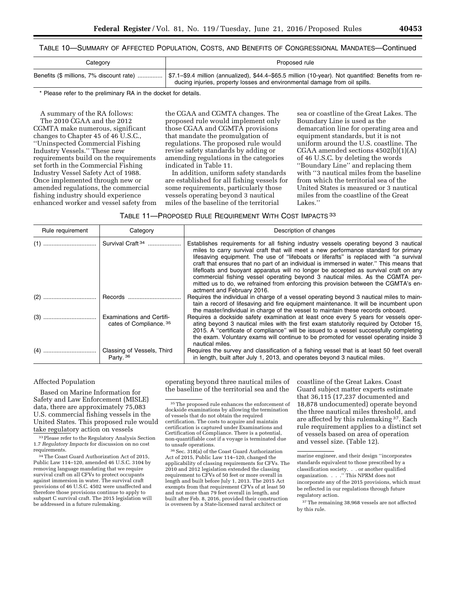| Category | Proposed rule                                                                                                                                                                                                                  |
|----------|--------------------------------------------------------------------------------------------------------------------------------------------------------------------------------------------------------------------------------|
|          | Benefits (\$ millions, 7% discount rate)    \$7.1–\$9.4 million (annualized), \$44.4–\$65.5 million (10-year). Not quantified: Benefits from re-<br>ducing injuries, property losses and environmental damage from oil spills. |

\* Please refer to the preliminary RA in the docket for details.

A summary of the RA follows: The 2010 CGAA and the 2012 CGMTA make numerous, significant changes to Chapter 45 of 46 U.S.C., ''Uninspected Commercial Fishing Industry Vessels.'' These new requirements build on the requirements set forth in the Commercial Fishing Industry Vessel Safety Act of 1988. Once implemented through new or amended regulations, the commercial fishing industry should experience enhanced worker and vessel safety from the CGAA and CGMTA changes. The proposed rule would implement only those CGAA and CGMTA provisions that mandate the promulgation of regulations. The proposed rule would revise safety standards by adding or amending regulations in the categories indicated in Table 11.

In addition, uniform safety standards are established for all fishing vessels for some requirements, particularly those vessels operating beyond 3 nautical miles of the baseline of the territorial

sea or coastline of the Great Lakes. The Boundary Line is used as the demarcation line for operating area and equipment standards, but it is not uniform around the U.S. coastline. The CGAA amended sections 4502(b)(1)(A) of 46 U.S.C. by deleting the words ''Boundary Line'' and replacing them with ''3 nautical miles from the baseline from which the territorial sea of the United States is measured or 3 nautical miles from the coastline of the Great Lakes.''

| TABLE 11—PROPOSED RULE REQUIREMENT WITH COST IMPACTS 33 |  |
|---------------------------------------------------------|--|
|---------------------------------------------------------|--|

| Rule requirement | Category                                                    | Description of changes                                                                                                                                                                                                                                                                                                                                                                                                                                                                                                                                                                                                                                           |
|------------------|-------------------------------------------------------------|------------------------------------------------------------------------------------------------------------------------------------------------------------------------------------------------------------------------------------------------------------------------------------------------------------------------------------------------------------------------------------------------------------------------------------------------------------------------------------------------------------------------------------------------------------------------------------------------------------------------------------------------------------------|
|                  | Survival Craft <sup>34</sup>                                | Establishes requirements for all fishing industry vessels operating beyond 3 nautical<br>miles to carry survival craft that will meet a new performance standard for primary<br>lifesaving equipment. The use of "lifeboats or liferafts" is replaced with "a survival<br>craft that ensures that no part of an individual is immersed in water." This means that<br>lifefloats and buoyant apparatus will no longer be accepted as survival craft on any<br>commercial fishing vessel operating beyond 3 nautical miles. As the CGMTA per-<br>mitted us to do, we refrained from enforcing this provision between the CGMTA's en-<br>actment and February 2016. |
|                  |                                                             | Requires the individual in charge of a vessel operating beyond 3 nautical miles to main-<br>tain a record of lifesaving and fire equipment maintenance. It will be incumbent upon<br>the master/individual in charge of the vessel to maintain these records onboard.                                                                                                                                                                                                                                                                                                                                                                                            |
|                  | <b>Examinations and Certifi-</b><br>cates of Compliance. 35 | Requires a dockside safety examination at least once every 5 years for vessels oper-<br>ating beyond 3 nautical miles with the first exam statutorily required by October 15.<br>2015. A "certificate of compliance" will be issued to a vessel successfully completing<br>the exam. Voluntary exams will continue to be promoted for vessel operating inside 3<br>nautical miles.                                                                                                                                                                                                                                                                               |
|                  | Classing of Vessels, Third<br>Party. 36                     | Requires the survey and classification of a fishing vessel that is at least 50 feet overall<br>in length, built after July 1, 2013, and operates beyond 3 nautical miles.                                                                                                                                                                                                                                                                                                                                                                                                                                                                                        |

#### Affected Population

Based on Marine Information for Safety and Law Enforcement (MISLE) data, there are approximately 75,083 U.S. commercial fishing vessels in the United States. This proposed rule would take regulatory action on vessels

34The Coast Guard Authorization Act of 2015, Public Law 114–120, amended 46 U.S.C. 3104 by removing language mandating that we require survival craft on all CFVs to protect occupants against immersion in water. The survival craft provisions of 46 U.S.C. 4502 were unaffected and therefore those provisions continue to apply to subpart C survival craft. The 2015 legislation will be addressed in a future rulemaking.

operating beyond three nautical miles of the baseline of the territorial sea and the

36Sec. 318(a) of the Coast Guard Authorization Act of 2015, Public Law 114–120, changed the applicability of classing requirements for CFVs. The 2010 and 2012 legislation extended the classing requirement to CFVs of 50 feet or more overall in length and built before July 1, 2013. The 2015 Act exempts from that requirement CFVs of at least 50 and not more than 79 feet overall in length, and built after Feb. 8, 2016, provided their construction is overseen by a State-licensed naval architect or

coastline of the Great Lakes. Coast Guard subject matter experts estimate that 36,115 (17,237 documented and 18,878 undocumented) operate beyond the three nautical miles threshold, and are affected by this rulemaking 37. Each rule requirement applies to a distinct set of vessels based on area of operation and vessel size. (Table 12).

<sup>33</sup> Please refer to the Regulatory Analysis Section 1.7 *Regulatory Impacts* for discussion on no cost requirements.

 $^{\rm 35}\!$  The proposed rule enhances the enforcement of dockside examinations by allowing the termination of vessels that do not obtain the required certification. The costs to acquire and maintain certification is captured under Examinations and Certification of Compliance. There is a potential, non-quantifiable cost if a voyage is terminated due to unsafe operations.

marine engineer, and their design ''incorporates standards equivalent to those prescribed by a classification society. . . or another qualified organization. . . .'' This NPRM does not incorporate any of the 2015 provisions, which must be reflected in our regulations through future regulatory action.

<sup>37</sup>The remaining 38,968 vessels are not affected by this rule.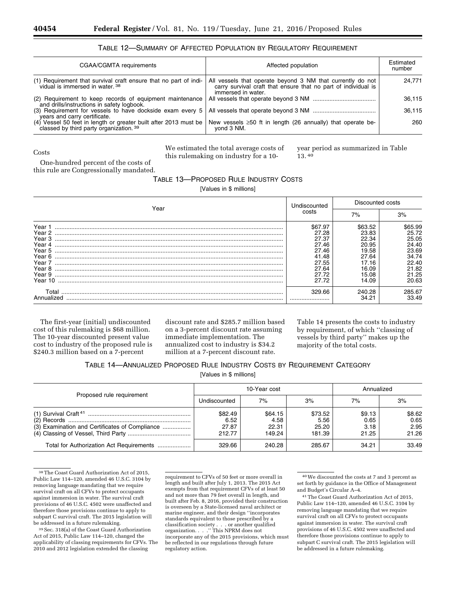#### TABLE 12—SUMMARY OF AFFECTED POPULATION BY REGULATORY REQUIREMENT

| CGAA/CGMTA requirements                                                                                                                                                       | Affected population                                                                                                                                | Estimated<br>number |
|-------------------------------------------------------------------------------------------------------------------------------------------------------------------------------|----------------------------------------------------------------------------------------------------------------------------------------------------|---------------------|
| (1) Requirement that survival craft ensure that no part of indi-<br>vidual is immersed in water. <sup>38</sup>                                                                | All vessels that operate beyond 3 NM that currently do not<br>carry survival craft that ensure that no part of individual is<br>immersed in water. | 24.771              |
| (2) Requirement to keep records of equipment maintenance<br>and drills/instructions in safety logbook.                                                                        |                                                                                                                                                    | 36,115              |
| years and carry certificate.                                                                                                                                                  |                                                                                                                                                    | 36,115              |
| (4) Vessel 50 feet in length or greater built after 2013 must be New vessels $\geq$ 50 ft in length (26 annually) that operate be-<br>classed by third party organization. 39 | yond 3 NM.                                                                                                                                         | 260                 |

Costs

We estimated the total average costs of this rulemaking on industry for a 10year period as summarized in Table 13. 40

One-hundred percent of the costs of this rule are Congressionally mandated.

#### TABLE 13—PROPOSED RULE INDUSTRY COSTS

[Values in \$ millions]

| Year                                                                                              |                                                                                          | Discounted costs                                                                         |                                                                                          |
|---------------------------------------------------------------------------------------------------|------------------------------------------------------------------------------------------|------------------------------------------------------------------------------------------|------------------------------------------------------------------------------------------|
|                                                                                                   |                                                                                          | 7%                                                                                       | 3%                                                                                       |
| Year 1<br>Year 2<br>Year 3<br>Year 4<br>Year 5<br>Year 6<br>Year 7<br>Year 8<br>Year 9<br>Year 10 | \$67.97<br>27.28<br>27.37<br>27.46<br>27.46<br>41.48<br>27.55<br>27.64<br>27.72<br>27.72 | \$63.52<br>23.83<br>22.34<br>20.95<br>19.58<br>27.64<br>17.16<br>16.09<br>15.08<br>14.09 | \$65.99<br>25.72<br>25.05<br>24.40<br>23.69<br>34.74<br>22.40<br>21.82<br>21.25<br>20.63 |
| Total<br>Annualized                                                                               | 329.66<br>                                                                               | 240.28<br>34.21                                                                          | 285.67<br>33.49                                                                          |

The first-year (initial) undiscounted cost of this rulemaking is \$68 million. The 10-year discounted present value cost to industry of the proposed rule is \$240.3 million based on a 7-percent

discount rate and \$285.7 million based on a 3-percent discount rate assuming immediate implementation. The annualized cost to industry is \$34.2 million at a 7-percent discount rate.

Table 14 presents the costs to industry by requirement, of which ''classing of vessels by third party'' makes up the majority of the total costs.

#### TABLE 14—ANNUALIZED PROPOSED RULE INDUSTRY COSTS BY REQUIREMENT CATEGORY

[Values in \$ millions]

|                                                | 10-Year cost                       |                                    |                                    | Annualized                      |                                 |
|------------------------------------------------|------------------------------------|------------------------------------|------------------------------------|---------------------------------|---------------------------------|
| Proposed rule requirement                      | Undiscounted                       | 7%                                 | 3%                                 | 7%                              | 3%                              |
| (3) Examination and Certificates of Compliance | \$82.49<br>6.52<br>27.87<br>212.77 | \$64.15<br>4.58<br>22.31<br>149.24 | \$73.52<br>5.56<br>25.20<br>181.39 | \$9.13<br>0.65<br>3.18<br>21.25 | \$8.62<br>0.65<br>2.95<br>21.26 |
| Total for Authorization Act Requirements       | 329.66                             | 240.28                             | 285.67                             | 34.21                           | 33.49                           |

38The Coast Guard Authorization Act of 2015, Public Law 114–120, amended 46 U.S.C. 3104 by removing language mandating that we require survival craft on all CFVs to protect occupants against immersion in water. The survival craft provisions of 46 U.S.C. 4502 were unaffected and therefore those provisions continue to apply to subpart C survival craft. The 2015 legislation will be addressed in a future rulemaking.

39Sec. 318(a) of the Coast Guard Authorization Act of 2015, Public Law 114–120, changed the applicability of classing requirements for CFVs. The 2010 and 2012 legislation extended the classing

requirement to CFVs of 50 feet or more overall in length and built after July 1, 2013. The 2015 Act exempts from that requirement CFVs of at least 50 and not more than 79 feet overall in length, and built after Feb. 8, 2016, provided their construction is overseen by a State-licensed naval architect or marine engineer, and their design ''incorporates standards equivalent to those prescribed by a classification society . . . or another qualified organization. . . .'' This NPRM does not incorporate any of the 2015 provisions, which must be reflected in our regulations through future regulatory action.

40We discounted the costs at 7 and 3 percent as set forth by guidance in the Office of Management and Budget's Circular A–4.

41The Coast Guard Authorization Act of 2015, Public Law 114–120, amended 46 U.S.C. 3104 by removing language mandating that we require survival craft on all CFVs to protect occupants against immersion in water. The survival craft provisions of 46 U.S.C. 4502 were unaffected and therefore those provisions continue to apply to subpart C survival craft. The 2015 legislation will be addressed in a future rulemaking.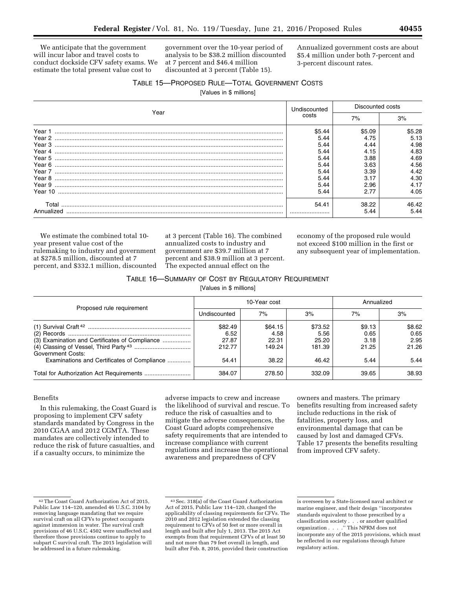We anticipate that the government will incur labor and travel costs to conduct dockside CFV safety exams. We estimate the total present value cost to

government over the 10-year period of analysis to be \$38.2 million discounted at 7 percent and \$46.4 million discounted at 3 percent (Table 15).

Annualized government costs are about \$5.4 million under both 7-percent and 3-percent discount rates.

#### TABLE 15—PROPOSED RULE—TOTAL GOVERNMENT COSTS

[Values in \$ millions]

| Year                | Undiscounted   | Discounted costs |                |
|---------------------|----------------|------------------|----------------|
|                     | costs          | 7%               | 3%             |
| Year 1<br>Year 2    | \$5.44<br>5.44 | \$5.09<br>4.75   | \$5.28<br>5.13 |
| Year 3              | 5.44           | 4.44             | 4.98           |
| Year 4<br>Year 5    | 5.44<br>5.44   | 4.15<br>3.88     | 4.83<br>4.69   |
| Year 6              | 5.44<br>5.44   | 3.63<br>3.39     | 4.56<br>4.42   |
| Year 8<br>Year 9    | 5.44<br>5.44   | 2.96             | 4.30<br>4.17   |
|                     | 5.44           | 2.77             | 4.05           |
| Total<br>Annualized | 54.41          | 38.22<br>5.44    | 46.42<br>5.44  |

We estimate the combined total 10 year present value cost of the rulemaking to industry and government at \$278.5 million, discounted at 7 percent, and \$332.1 million, discounted

at 3 percent (Table 16). The combined annualized costs to industry and government are \$39.7 million at 7 percent and \$38.9 million at 3 percent. The expected annual effect on the

economy of the proposed rule would not exceed \$100 million in the first or any subsequent year of implementation.

#### TABLE 16—SUMMARY OF COST BY REGULATORY REQUIREMENT

[Values in \$ millions]

|                                                                                                                           |                                             | 10-Year cost                                | Annualized                                  |                                         |                                         |
|---------------------------------------------------------------------------------------------------------------------------|---------------------------------------------|---------------------------------------------|---------------------------------------------|-----------------------------------------|-----------------------------------------|
| Proposed rule requirement                                                                                                 | Undiscounted                                | 7%                                          | 3%                                          | 7%                                      | 3%                                      |
| (3) Examination and Certificates of Compliance<br><b>Government Costs:</b><br>Examinations and Certificates of Compliance | \$82.49<br>6.52<br>27.87<br>212.77<br>54.41 | \$64.15<br>4.58<br>22.31<br>149.24<br>38.22 | \$73.52<br>5.56<br>25.20<br>181.39<br>46.42 | \$9.13<br>0.65<br>3.18<br>21.25<br>5.44 | \$8.62<br>0.65<br>2.95<br>21.26<br>5.44 |
|                                                                                                                           | 384.07                                      | 278.50                                      | 332.09                                      | 39.65                                   | 38.93                                   |

#### Benefits

In this rulemaking, the Coast Guard is proposing to implement CFV safety standards mandated by Congress in the 2010 CGAA and 2012 CGMTA. These mandates are collectively intended to reduce the risk of future casualties, and if a casualty occurs, to minimize the

adverse impacts to crew and increase the likelihood of survival and rescue. To reduce the risk of casualties and to mitigate the adverse consequences, the Coast Guard adopts comprehensive safety requirements that are intended to increase compliance with current regulations and increase the operational awareness and preparedness of CFV

owners and masters. The primary benefits resulting from increased safety include reductions in the risk of fatalities, property loss, and environmental damage that can be caused by lost and damaged CFVs. Table 17 presents the benefits resulting from improved CFV safety.

<sup>42</sup>The Coast Guard Authorization Act of 2015, Public Law 114–120, amended 46 U.S.C. 3104 by removing language mandating that we require survival craft on all CFVs to protect occupants against immersion in water. The survival craft provisions of 46 U.S.C. 4502 were unaffected and therefore those provisions continue to apply to subpart C survival craft. The 2015 legislation will be addressed in a future rulemaking.

<sup>43</sup>Sec. 318(a) of the Coast Guard Authorization Act of 2015, Public Law 114–120, changed the applicability of classing requirements for CFVs. The 2010 and 2012 legislation extended the classing requirement to CFVs of 50 feet or more overall in length and built after July 1, 2013. The 2015 Act exempts from that requirement CFVs of at least 50 and not more than 79 feet overall in length, and built after Feb. 8, 2016, provided their construction

is overseen by a State-licensed naval architect or marine engineer, and their design ''incorporates standards equivalent to those prescribed by a classification society . . . or another qualified organization . . . .'' This NPRM does not incorporate any of the 2015 provisions, which must be reflected in our regulations through future regulatory action.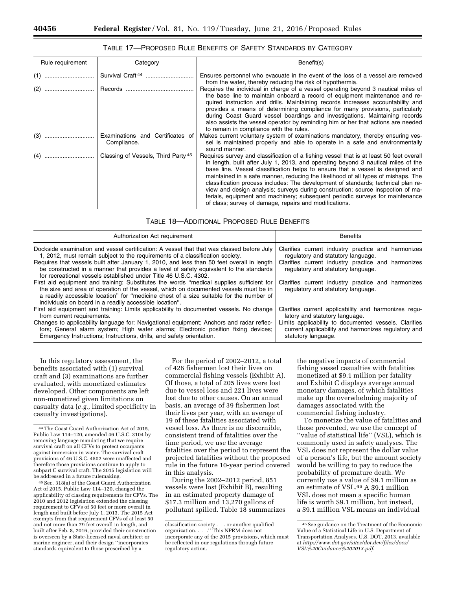#### TABLE 17—PROPOSED RULE BENEFITS OF SAFETY STANDARDS BY CATEGORY

| Rule requirement | Category                                        | Benefit(s)                                                                                                                                                                                                                                                                                                                                                                                                                                                                                                                                                                                                                                                             |
|------------------|-------------------------------------------------|------------------------------------------------------------------------------------------------------------------------------------------------------------------------------------------------------------------------------------------------------------------------------------------------------------------------------------------------------------------------------------------------------------------------------------------------------------------------------------------------------------------------------------------------------------------------------------------------------------------------------------------------------------------------|
|                  | Survival Craft <sup>44</sup>                    | Ensures personnel who evacuate in the event of the loss of a vessel are removed<br>from the water, thereby reducing the risk of hypothermia.                                                                                                                                                                                                                                                                                                                                                                                                                                                                                                                           |
|                  |                                                 | Requires the individual in charge of a vessel operating beyond 3 nautical miles of<br>the base line to maintain onboard a record of equipment maintenance and re-<br>quired instruction and drills. Maintaining records increases accountability and<br>provides a means of determining compliance for many provisions, particularly<br>during Coast Guard vessel boardings and investigations. Maintaining records<br>also assists the vessel operator by reminding him or her that actions are needed<br>to remain in compliance with the rules.                                                                                                                     |
|                  | Examinations and Certificates of<br>Compliance. | Makes current voluntary system of examinations mandatory, thereby ensuring ves-<br>sel is maintained properly and able to operate in a safe and environmentally<br>sound manner.                                                                                                                                                                                                                                                                                                                                                                                                                                                                                       |
|                  | Classing of Vessels, Third Party <sup>45</sup>  | Requires survey and classification of a fishing vessel that is at least 50 feet overall<br>in length, built after July 1, 2013, and operating beyond 3 nautical miles of the<br>base line. Vessel classification helps to ensure that a vessel is designed and<br>maintained in a safe manner, reducing the likelihood of all types of mishaps. The<br>classification process includes: The development of standards; technical plan re-<br>view and design analysis; surveys during construction; source inspection of ma-<br>terials, equipment and machinery; subsequent periodic surveys for maintenance<br>of class; survey of damage, repairs and modifications. |

| Authorization Act requirement                                                                                                                                                                                                                                                                                                          | <b>Benefits</b>                                                                          |
|----------------------------------------------------------------------------------------------------------------------------------------------------------------------------------------------------------------------------------------------------------------------------------------------------------------------------------------|------------------------------------------------------------------------------------------|
| Dockside examination and vessel certification: A vessel that that was classed before July                                                                                                                                                                                                                                              | Clarifies current industry practice and harmonizes                                       |
| 1, 2012, must remain subject to the requirements of a classification society.                                                                                                                                                                                                                                                          | regulatory and statutory language.                                                       |
| Requires that vessels built after January 1, 2010, and less than 50 feet overall in length<br>be constructed in a manner that provides a level of safety equivalent to the standards<br>for recreational vessels established under Title 46 U.S.C. 4302.                                                                               | Clarifies current industry practice and harmonizes<br>regulatory and statutory language. |
| First aid equipment and training: Substitutes the words "medical supplies sufficient for<br>the size and area of operation of the vessel, which on documented vessels must be in<br>a readily accessible location" for "medicine chest of a size suitable for the number of<br>individuals on board in a readily accessible location". | Clarifies current industry practice and harmonizes<br>regulatory and statutory language. |
| First aid equipment and training: Limits applicability to documented vessels. No change                                                                                                                                                                                                                                                | Clarifies current applicability and harmonizes regu-                                     |
| from current requirements.                                                                                                                                                                                                                                                                                                             | latory and statutory language.                                                           |
| Changes to applicability language for: Navigational equipment; Anchors and radar reflec-                                                                                                                                                                                                                                               | Limits applicability to documented vessels. Clarifies                                    |
| tors; General alarm system; High water alarms; Electronic position fixing devices;                                                                                                                                                                                                                                                     | current applicability and harmonizes regulatory and                                      |
| Emergency Instructions; Instructions, drills, and safety orientation.                                                                                                                                                                                                                                                                  | statutory language.                                                                      |

In this regulatory assessment, the benefits associated with (1) survival craft and (3) examinations are further evaluated, with monetized estimates developed. Other components are left non-monetized given limitations on casualty data (*e.g.,* limited specificity in casualty investigations).

45Sec. 318(a) of the Coast Guard Authorization Act of 2015, Public Law 114–120, changed the applicability of classing requirements for CFVs. The 2010 and 2012 legislation extended the classing requirement to CFVs of 50 feet or more overall in length and built before July 1, 2013. The 2015 Act exempts from that requirement CFVs of at least 50 and not more than 79 feet overall in length, and built after Feb. 8, 2016, provided their construction is overseen by a State-licensed naval architect or marine engineer, and their design ''incorporates standards equivalent to those prescribed by a

For the period of 2002–2012, a total of 426 fishermen lost their lives on commercial fishing vessels (Exhibit A). Of those, a total of 205 lives were lost due to vessel loss and 221 lives were lost due to other causes. On an annual basis, an average of 39 fishermen lost their lives per year, with an average of 19 of these fatalities associated with vessel loss. As there is no discernible, consistent trend of fatalities over the time period, we use the average fatalities over the period to represent the projected fatalities without the proposed rule in the future 10-year period covered in this analysis.

During the 2002–2012 period, 851 vessels were lost (Exhibit B), resulting in an estimated property damage of \$17.3 million and 13,270 gallons of pollutant spilled. Table 18 summarizes

the negative impacts of commercial fishing vessel casualties with fatalities monetized at \$9.1 million per fatality and Exhibit C displays average annual monetary damages, of which fatalities make up the overwhelming majority of damages associated with the commercial fishing industry.

To monetize the value of fatalities and those prevented, we use the concept of ''value of statistical life'' (VSL), which is commonly used in safety analyses. The VSL does not represent the dollar value of a person's life, but the amount society would be willing to pay to reduce the probability of premature death. We currently use a value of \$9.1 million as an estimate of VSL.46 A \$9.1 million VSL does not mean a specific human life is worth \$9.1 million, but instead, a \$9.1 million VSL means an individual

<sup>44</sup>The Coast Guard Authorization Act of 2015, Public Law 114–120, amended 46 U.S.C. 3104 by removing language mandating that we require survival craft on all CFVs to protect occupants against immersion in water. The survival craft provisions of 46 U.S.C. 4502 were unaffected and therefore those provisions continue to apply to subpart C survival craft. The 2015 legislation will be addressed in a future rulemaking.

classification society . . or another qualified organization. . . .'' This NPRM does not incorporate any of the 2015 provisions, which must be reflected in our regulations through future regulatory action.

<sup>46</sup>See guidance on the Treatment of the Economic Value of a Statistical Life in U.S. Department of Transportation Analyses, U.S. DOT, 2013, available at *[http://www.dot.gov/sites/dot.dev/files/docs/](http://www.dot.gov/sites/dot.dev/files/docs/VSL%20Guidance%202013.pdf) [VSL%20Guidance%202013.pdf](http://www.dot.gov/sites/dot.dev/files/docs/VSL%20Guidance%202013.pdf)*.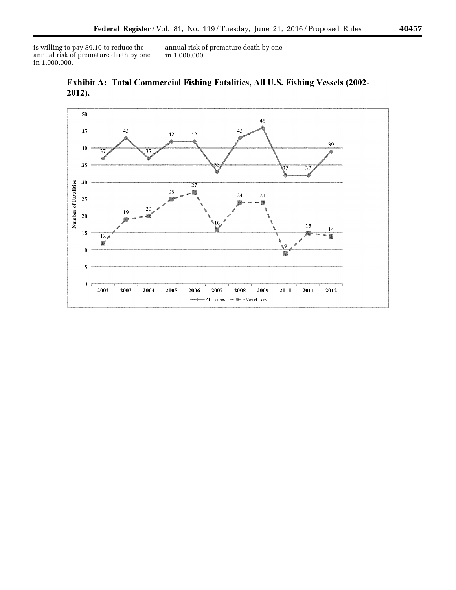is willing to pay \$9.10 to reduce the annual risk of premature death by one in 1,000,000.

annual risk of premature death by one in 1,000,000.





۰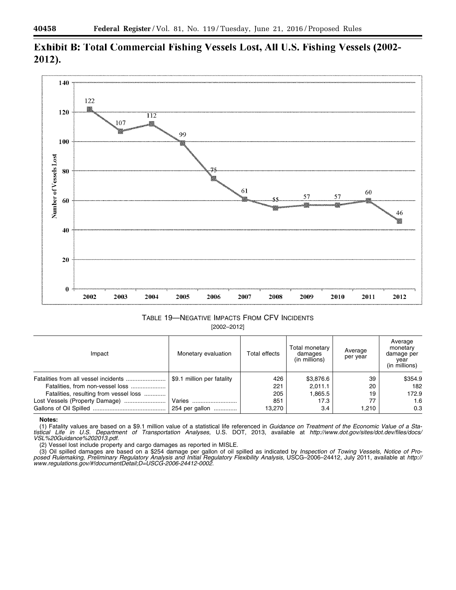

## Exhibit B: Total Commercial Fishing Vessels Lost, All U.S. Fishing Vessels (2002-2012).

TABLE 19—NEGATIVE IMPACTS FROM CFV INCIDENTS [2002–2012]

| Impact                                 | Monetary evaluation        | Total effects | Total monetary<br>damages<br>(in millions) | Average<br>per year | Average<br>monetary<br>damage per<br>year<br>(in millions) |
|----------------------------------------|----------------------------|---------------|--------------------------------------------|---------------------|------------------------------------------------------------|
|                                        | \$9.1 million per fatality | 426           | \$3,876.6                                  | 39                  | \$354.9                                                    |
|                                        |                            | 221           | 2.011.1                                    | 20                  | 182                                                        |
| Fatalities, resulting from vessel loss |                            | 205           | 1,865.5                                    | 19                  | 172.9                                                      |
|                                        | Varies                     | 851           | 17.3                                       |                     | 1.6                                                        |
|                                        | 254 per gallon             | 13.270        | 3.4                                        | 1.210               | 0.3                                                        |

#### **Notes:**

(1) Fatality values are based on a \$9.1 million value of a statistical life referenced in *Guidance on Treatment of the Economic Value of a Statistical Life in U.S. Department of Transportation Analyses,* U.S. DOT, 2013, available at *[http://www.dot.gov/sites/dot.dev/files/docs/](http://www.dot.gov/sites/dot.dev/files/docs/VSL%20Guidance%202013.pdf) [VSL%20Guidance%202013.pdf.](http://www.dot.gov/sites/dot.dev/files/docs/VSL%20Guidance%202013.pdf)* 

(2) Vessel lost include property and cargo damages as reported in MISLE.

(3) Oil spilled damages are based on a \$254 damage per gallon of oil spilled as indicated by *Inspection of Towing Vessels, Notice of Proposed Rulemaking, Preliminary Regulatory Analysis and Initial Regulatory Flexibility Analysis,* USCG–2006–24412, July 2011, available at *[http://](http://www.regulations.gov/#!documentDetail;D=USCG-2006-24412-0002) [www.regulations.gov/#!documentDetail;D=USCG-2006-24412-0002.](http://www.regulations.gov/#!documentDetail;D=USCG-2006-24412-0002)*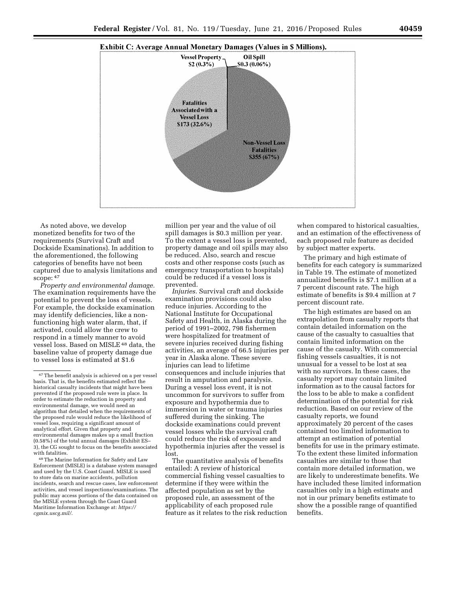



As noted above, we develop monetized benefits for two of the requirements (Survival Craft and Dockside Examinations). In addition to the aforementioned, the following categories of benefits have not been captured due to analysis limitations and  $\frac{1}{2}$ scope:  $47$ 

*Property and environmental damage.*  The examination requirements have the potential to prevent the loss of vessels. For example, the dockside examination may identify deficiencies, like a nonfunctioning high water alarm, that, if activated, could allow the crew to respond in a timely manner to avoid vessel loss. Based on MISLE 48 data, the baseline value of property damage due to vessel loss is estimated at \$1.6

48The Marine Information for Safety and Law Enforcement (MISLE) is a database system managed and used by the U.S. Coast Guard. MISLE is used to store data on marine accidents, pollution incidents, search and rescue cases, law enforcement activities, and vessel inspections/examinations. The public may access portions of the data contained on the MISLE system through the Coast Guard Maritime Information Exchange at: *[https://](https://cgmix.uscg.mil/) [cgmix.uscg.mil/](https://cgmix.uscg.mil/)*.

million per year and the value of oil spill damages is \$0.3 million per year. To the extent a vessel loss is prevented, property damage and oil spills may also be reduced. Also, search and rescue costs and other response costs (such as emergency transportation to hospitals) could be reduced if a vessel loss is prevented.

*Injuries.* Survival craft and dockside examination provisions could also reduce injuries. According to the National Institute for Occupational Safety and Health, in Alaska during the period of 1991–2002, 798 fishermen were hospitalized for treatment of severe injuries received during fishing activities, an average of 66.5 injuries per year in Alaska alone. These severe injuries can lead to lifetime consequences and include injuries that result in amputation and paralysis. During a vessel loss event, it is not uncommon for survivors to suffer from exposure and hypothermia due to immersion in water or trauma injuries suffered during the sinking. The dockside examinations could prevent vessel losses while the survival craft could reduce the risk of exposure and hypothermia injuries after the vessel is lost.

The quantitative analysis of benefits entailed: A review of historical commercial fishing vessel casualties to determine if they were within the affected population as set by the proposed rule, an assessment of the applicability of each proposed rule feature as it relates to the risk reduction

when compared to historical casualties, and an estimation of the effectiveness of each proposed rule feature as decided by subject matter experts.

The primary and high estimate of benefits for each category is summarized in Table 19. The estimate of monetized annualized benefits is \$7.1 million at a 7 percent discount rate. The high estimate of benefits is \$9.4 million at 7 percent discount rate.

The high estimates are based on an extrapolation from casualty reports that contain detailed information on the cause of the casualty to casualties that contain limited information on the cause of the casualty. With commercial fishing vessels casualties, it is not unusual for a vessel to be lost at sea with no survivors. In these cases, the casualty report may contain limited information as to the causal factors for the loss to be able to make a confident determination of the potential for risk reduction. Based on our review of the casualty reports, we found approximately 20 percent of the cases contained too limited information to attempt an estimation of potential benefits for use in the primary estimate. To the extent these limited information casualties are similar to those that contain more detailed information, we are likely to underestimate benefits. We have included these limited information casualties only in a high estimate and not in our primary benefits estimate to show the a possible range of quantified benefits.

<sup>47</sup>The benefit analysis is achieved on a per vessel basis. That is, the benefits estimated reflect the historical casualty incidents that might have been prevented if the proposed rule were in place. In order to estimate the reduction in property and environmental damage, we would need an algorithm that detailed when the requirements of the proposed rule would reduce the likelihood of vessel loss, requiring a significant amount of analytical effort. Given that property and environmental damages makes up a small fraction (0.58%) of the total annual damages (Exhibit ES– 3), the CG sought to focus on the benefits associated with fatalities.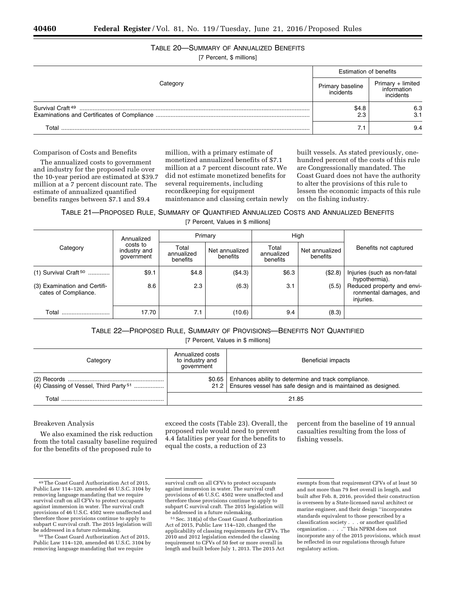## TABLE 20—SUMMARY OF ANNUALIZED BENEFITS

[7 Percent, \$ millions]

|                              | <b>Estimation of benefits</b> |                                               |  |
|------------------------------|-------------------------------|-----------------------------------------------|--|
| Categorv                     | Primary baseline<br>incidents | Primary + limited<br>information<br>incidents |  |
| Survival Craft <sup>49</sup> | \$4.8                         | 6.3<br>3.1                                    |  |
| Total                        |                               | 9.4                                           |  |

#### Comparison of Costs and Benefits

The annualized costs to government and industry for the proposed rule over the 10-year period are estimated at \$39.7 million at a 7 percent discount rate. The estimate of annualized quantified benefits ranges between \$7.1 and \$9.4

million, with a primary estimate of monetized annualized benefits of \$7.1 million at a 7 percent discount rate. We did not estimate monetized benefits for several requirements, including recordkeeping for equipment maintenance and classing certain newly

built vessels. As stated previously, onehundred percent of the costs of this rule are Congressionally mandated. The Coast Guard does not have the authority to alter the provisions of this rule to lessen the economic impacts of this rule on the fishing industry.

TABLE 21—PROPOSED RULE, SUMMARY OF QUANTIFIED ANNUALIZED COSTS AND ANNUALIZED BENEFITS [7 Percent, Values in \$ millions]

|                                                      | Annualized                             | Primary                         |                            |                                 | High                       |                                                                   |  |
|------------------------------------------------------|----------------------------------------|---------------------------------|----------------------------|---------------------------------|----------------------------|-------------------------------------------------------------------|--|
| Category                                             | costs to<br>industry and<br>government | Total<br>annualized<br>benefits | Net annualized<br>benefits | Total<br>annualized<br>benefits | Net annualized<br>benefits | Benefits not captured                                             |  |
| $(1)$ Survival Craft <sup>50</sup>                   | \$9.1                                  | \$4.8                           | (\$4.3)                    | \$6.3                           | (\$2.8)                    | Injuries (such as non-fatal<br>hypothermia).                      |  |
| (3) Examination and Certifi-<br>cates of Compliance. | 8.6                                    | 2.3                             | (6.3)                      | 3.1                             | (5.5)                      | Reduced property and envi-<br>ronmental damages, and<br>injuries. |  |
| Total                                                | 17.70                                  | 7.1                             | (10.6)                     | 9.4                             | (8.3)                      |                                                                   |  |

#### TABLE 22—PROPOSED RULE, SUMMARY OF PROVISIONS—BENEFITS NOT QUANTIFIED

[7 Percent, Values in \$ millions]

| Category | Annualized costs<br>to industry and<br>government | Beneficial impacts                                                                                                                 |
|----------|---------------------------------------------------|------------------------------------------------------------------------------------------------------------------------------------|
|          |                                                   | \$0.65   Enhances ability to determine and track compliance.<br>21.2 Ensures vessel has safe design and is maintained as designed. |
| Total    |                                                   | 21.85                                                                                                                              |

#### Breakeven Analysis

We also examined the risk reduction from the total casualty baseline required for the benefits of the proposed rule to

exceed the costs (Table 23). Overall, the proposed rule would need to prevent 4.4 fatalities per year for the benefits to equal the costs, a reduction of 23

percent from the baseline of 19 annual casualties resulting from the loss of fishing vessels.

<sup>49</sup>The Coast Guard Authorization Act of 2015, Public Law 114–120, amended 46 U.S.C. 3104 by removing language mandating that we require survival craft on all CFVs to protect occupants against immersion in water. The survival craft provisions of 46 U.S.C. 4502 were unaffected and therefore those provisions continue to apply to subpart C survival craft. The 2015 legislation will be addressed in a future rulemaking.

<sup>50</sup>The Coast Guard Authorization Act of 2015, Public Law 114–120, amended 46 U.S.C. 3104 by removing language mandating that we require

survival craft on all CFVs to protect occupants against immersion in water. The survival craft provisions of 46 U.S.C. 4502 were unaffected and therefore those provisions continue to apply to subpart C survival craft. The 2015 legislation will be addressed in a future rulemaking.

<sup>51</sup>Sec. 318(a) of the Coast Guard Authorization Act of 2015, Public Law 114–120, changed the applicability of classing requirements for CFVs. The 2010 and 2012 legislation extended the classing requirement to CFVs of 50 feet or more overall in length and built before July 1, 2013. The 2015 Act

exempts from that requirement CFVs of at least 50 and not more than 79 feet overall in length, and built after Feb. 8, 2016, provided their construction is overseen by a State-licensed naval architect or marine engineer, and their design ''incorporates standards equivalent to those prescribed by a classification society . . . or another qualified organization . . . .'' This NPRM does not incorporate any of the 2015 provisions, which must be reflected in our regulations through future regulatory action.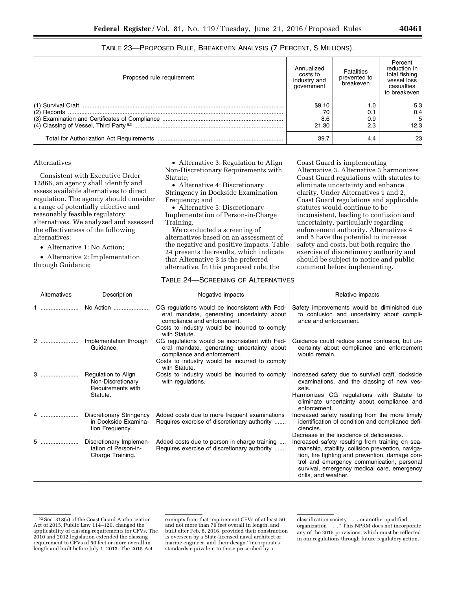| TABLE 23—PROPOSED RULE, BREAKEVEN ANALYSIS (7 PERCENT, \$ MILLIONS). |  |  |
|----------------------------------------------------------------------|--|--|
|----------------------------------------------------------------------|--|--|

| Proposed rule requirement | Annualized<br>costs to<br>industry and<br>aovernment | Fatalities<br>prevented to<br>breakeven | Percent<br>reduction in<br>total fishing<br>vessel loss<br>casualties<br>to breakeven |
|---------------------------|------------------------------------------------------|-----------------------------------------|---------------------------------------------------------------------------------------|
|                           | \$9.10                                               | $\overline{0}$                          | 5.3                                                                                   |
|                           | .70                                                  | 0.1                                     | 0.4                                                                                   |
|                           | 8.6                                                  | 0.9                                     | 5                                                                                     |
|                           | 21.30                                                | 2.3                                     | 12.3                                                                                  |
|                           | 39.7                                                 | 4.4                                     | 23                                                                                    |

#### Alternatives

Consistent with Executive Order 12866, an agency shall identify and assess available alternatives to direct regulation. The agency should consider a range of potentially effective and reasonably feasible regulatory alternatives. We analyzed and assessed the effectiveness of the following alternatives:

• Alternative 1: No Action;

• Alternative 2: Implementation through Guidance;

• Alternative 3: Regulation to Align Non-Discretionary Requirements with Statute;

• Alternative 4: Discretionary Stringency in Dockside Examination Frequency; and

• Alternative 5: Discretionary Implementation of Person-in-Charge Training.

We conducted a screening of alternatives based on an assessment of the negative and positive impacts. Table 24 presents the results, which indicate that Alternative 3 is the preferred alternative. In this proposed rule, the

Coast Guard is implementing Alternative 3. Alternative 3 harmonizes Coast Guard regulations with statutes to eliminate uncertainty and enhance clarity. Under Alternatives 1 and 2, Coast Guard regulations and applicable statutes would continue to be inconsistent, leading to confusion and uncertainty, particularly regarding enforcement authority. Alternatives 4 and 5 have the potential to increase safety and costs, but both require the exercise of discretionary authority and should be subject to notice and public comment before implementing.

#### TABLE 24—SCREENING OF ALTERNATIVES

| Alternatives | Description                                                               | Negative impacts                                                                                                                                                                              | Relative impacts                                                                                                                                                                                                                                                              |
|--------------|---------------------------------------------------------------------------|-----------------------------------------------------------------------------------------------------------------------------------------------------------------------------------------------|-------------------------------------------------------------------------------------------------------------------------------------------------------------------------------------------------------------------------------------------------------------------------------|
|              | No Action                                                                 | CG regulations would be inconsistent with Fed-<br>eral mandate, generating uncertainty about<br>compliance and enforcement.<br>Costs to industry would be incurred to comply<br>with Statute. | Safety improvements would be diminished due<br>to confusion and uncertainty about compli-<br>ance and enforcement.                                                                                                                                                            |
|              | Implementation through<br>Guidance.                                       | CG regulations would be inconsistent with Fed-<br>eral mandate, generating uncertainty about<br>compliance and enforcement.<br>Costs to industry would be incurred to comply<br>with Statute. | Guidance could reduce some confusion, but un-<br>certainty about compliance and enforcement<br>would remain.                                                                                                                                                                  |
| 3            | Regulation to Align<br>Non-Discretionary<br>Requirements with<br>Statute. | Costs to industry would be incurred to comply<br>with regulations.                                                                                                                            | Increased safety due to survival craft, dockside<br>examinations, and the classing of new ves-<br>sels.<br>Harmonizes CG regulations with Statute to<br>eliminate uncertainty about compliance and<br>enforcement.                                                            |
| 4            | Discretionary Stringency<br>in Dockside Examina-<br>tion Frequency.       | Added costs due to more frequent examinations<br>Requires exercise of discretionary authority                                                                                                 | Increased safety resulting from the more timely<br>identification of condition and compliance defi-<br>ciencies.<br>Decrease in the incidence of deficiencies.                                                                                                                |
| 5            | Discretionary Implemen-<br>tation of Person-in-<br>Charge Training.       | Added costs due to person in charge training<br>Requires exercise of discretionary authority                                                                                                  | Increased safety resulting from training on sea-<br>manship, stability, collision prevention, naviga-<br>tion, fire fighting and prevention, damage con-<br>trol and emergency communication, personal<br>survival, emergency medical care, emergency<br>drills, and weather. |

exempts from that requirement CFVs of at least 50 and not more than 79 feet overall in length, and built after Feb. 8, 2016, provided their construction is overseen by a State-licensed naval architect or marine engineer, and their design ''incorporates standards equivalent to those prescribed by a

<sup>52</sup>Sec. 318(a) of the Coast Guard Authorization Act of 2015, Public Law 114–120, changed the applicability of classing requirements for CFVs. The 2010 and 2012 legislation extended the classing requirement to CFVs of 50 feet or more overall in length and built before July 1, 2013. The 2015 Act

classification society . . . or another qualified organization . . .'' This NPRM does not incorporate any of the 2015 provisions, which must be reflected in our regulations through future regulatory action.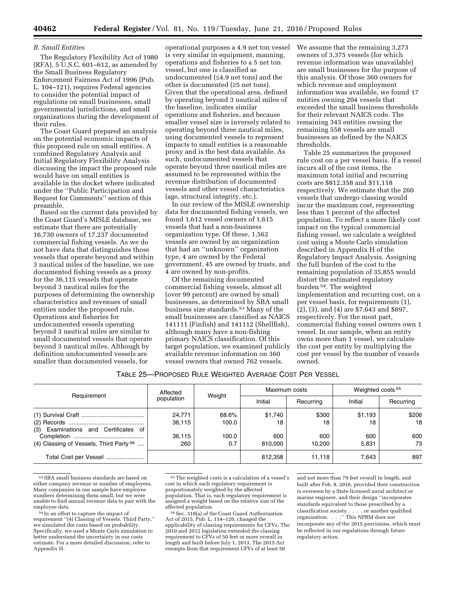#### *B. Small Entities*

The Regulatory Flexibility Act of 1980  $(RFA)$ , 5 U.S.C.  $601-612$ , as amended by the Small Business Regulatory Enforcement Fairness Act of 1996 (Pub. L. 104–121), requires Federal agencies to consider the potential impact of regulations on small businesses, small governmental jurisdictions, and small organizations during the development of their rules.

The Coast Guard prepared an analysis on the potential economic impacts of this proposed rule on small entities. A combined Regulatory Analysis and Initial Regulatory Flexibility Analysis discussing the impact the proposed rule would have on small entities is available in the docket where indicated under the ''Public Participation and Request for Comments'' section of this preamble.

Based on the current data provided by the Coast Guard's MISLE database, we estimate that there are potentially 16,730 owners of 17,237 documented commercial fishing vessels. As we do not have data that distinguishes those vessels that operate beyond and within 3 nautical miles of the baseline, we use documented fishing vessels as a proxy for the 36,115 vessels that operate beyond 3 nautical miles for the purposes of determining the ownership characteristics and revenues of small entities under the proposed rule. Operations and fisheries for undocumented vessels operating beyond 3 nautical miles are similar to small documented vessels that operate beyond 3 nautical miles. Although by definition undocumented vessels are smaller than documented vessels, for

operational purposes a 4.9 net ton vessel is very similar in equipment, manning, operations and fisheries to a 5 net ton vessel, but one is classified as undocumented (≤4.9 net tons) and the other is documented (≥5 net tons). Given that the operational area, defined by operating beyond 3 nautical miles of the baseline, indicates similar operations and fisheries, and because smaller vessel size is inversely related to operating beyond three nautical miles, using documented vessels to represent impacts to small entities is a reasonable proxy and is the best data available. As such, undocumented vessels that operate beyond three nautical miles are assumed to be represented within the revenue distribution of documented vessels and other vessel characteristics (age, structural integrity, etc.).

In our review of the MISLE ownership data for documented fishing vessels, we found 1,612 vessel owners of 1,615 vessels that had a non-business organization type. Of these, 1,562 vessels are owned by an organization that had an ''unknown'' organization type, 4 are owned by the Federal government, 45 are owned by trusts, and 4 are owned by non-profits.

Of the remaining documented commercial fishing vessels, almost all (over 99 percent) are owned by small businesses, as determined by SBA small business size standards.53 Many of the small businesses are classified as NAICS 141111 (Finfish) and 141112 (Shellfish), although many have a non-fishing primary NAICS classification. Of this target population, we examined publicly available revenue information on 360 vessel owners that owned 762 vessels.

We assume that the remaining 3,273 owners of 3,375 vessels (for which revenue information was unavailable) are small businesses for the purpose of this analysis. Of those 360 owners for which revenue and employment information was available, we found 17 entities owning 204 vessels that exceeded the small business thresholds for their relevant NAICS code. The remaining 343 entities owning the remaining 558 vessels are small businesses as defined by the NAICS thresholds.

Table 25 summarizes the proposed rule cost on a per vessel basis. If a vessel incurs all of the cost items, the maximum total initial and recurring costs are \$812,358 and \$11,118 respectively. We estimate that the 260 vessels that undergo classing would incur the maximum cost, representing less than 1 percent of the affected population. To reflect a more likely cost impact on the typical commercial fishing vessel, we calculate a weighted cost using a Monte Carlo simulation described in Appendix H of the Regulatory Impact Analysis. Assigning the full burden of the cost to the remaining population of 35,855 would distort the estimated regulatory burden 54. The weighted implementation and recurring cost, on a per vessel basis, for requirements (1), (2), (3), and (4) are \$7,643 and \$897, respectively. For the most part, commercial fishing vessel owners own 1 vessel. In our sample, when an entity owns more than 1 vessel, we calculate the cost per entity by multiplying the cost per vessel by the number of vessels owned.

| Table 25—Proposed Rule Weighted Average Cost Per Vessel |  |
|---------------------------------------------------------|--|
|---------------------------------------------------------|--|

|                                                    | Affected         | Weight         |                | Maximum costs | Weighted costs <sup>55</sup> |             |
|----------------------------------------------------|------------------|----------------|----------------|---------------|------------------------------|-------------|
| Requirement                                        | population       |                | Initial        | Recurring     | Initial                      | Recurring   |
| (3) Examinations and Certificates of               | 24,771<br>36,115 | 68.6%<br>100.0 | \$1,740<br>18  | \$300<br>18   | \$1,193<br>18                | \$206<br>18 |
| (4) Classing of Vessels, Third Party <sup>56</sup> | 36,115<br>260    | 100.0<br>0.7   | 600<br>810.000 | 600<br>10.200 | 600<br>5.831                 | 600<br>73   |
| Total Cost per Vessel                              |                  |                | 812,358        | 11.118        | 7.643                        | 897         |

<sup>53</sup>SBA small business standards are based on either company revenue or number of employees. Many companies in our sample have employee numbers determining them small, but we were unable to find annual revenue data to pair with the

<sup>54</sup> In an effort to capture the impact of requirement ''(4) Classing of Vessels, Third Party,'' we simulated the costs based on probability. Specifically, we used a Monte Carlo simulation to better understand the uncertainty in our costs estimate. For a more detailed discussion, refer to Appendix H.

<sup>55</sup>The weighted costs is a calculation of a vessel's cost in which each regulatory requirement is proportionately weighted by the affected population. That is, each regulatory requirement is assigned a weight based on the relative size of the

<sup>56</sup> Sec. 318(a) of the Coast Guard Authorization Act of 2015, Pub. L. 114–120, changed the applicability of classing requirements for CFVs. The 2010 and 2012 legislation extended the classing requirement to CFVs of 50 feet or more overall in length and built before July 1, 2013. The 2015 Act exempts from that requirement CFVs of at least 50

and not more than 79 feet overall in length, and built after Feb. 8, 2016, provided their construction is overseen by a State-licensed naval architect or marine engineer, and their design ''incorporates standards equivalent to those prescribed by a classification society . . . . or another qualified organization. . . .'' This NPRM does not incorporate any of the 2015 provisions, which must be reflected in our regulations through future regulatory action.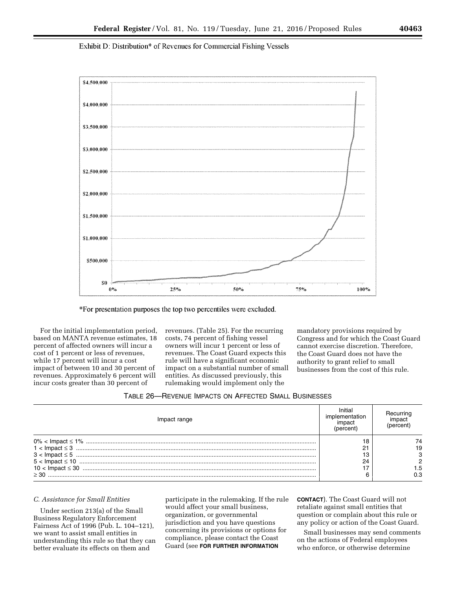Exhibit D: Distribution\* of Revenues for Commercial Fishing Vessels



\*For presentation purposes the top two percentiles were excluded.

For the initial implementation period, based on MANTA revenue estimates, 18 percent of affected owners will incur a cost of 1 percent or less of revenues, while 17 percent will incur a cost impact of between 10 and 30 percent of revenues. Approximately 6 percent will incur costs greater than 30 percent of

revenues. (Table 25). For the recurring costs, 74 percent of fishing vessel owners will incur 1 percent or less of revenues. The Coast Guard expects this rule will have a significant economic impact on a substantial number of small entities. As discussed previously, this rulemaking would implement only the

mandatory provisions required by Congress and for which the Coast Guard cannot exercise discretion. Therefore, the Coast Guard does not have the authority to grant relief to small businesses from the cost of this rule.

| TABLE 26-REVENUE IMPACTS ON AFFECTED SMALL BUSINESSES |  |
|-------------------------------------------------------|--|
|-------------------------------------------------------|--|

| impact range |    |  |
|--------------|----|--|
|              |    |  |
|              |    |  |
|              |    |  |
|              | 24 |  |
|              |    |  |
| 30 <         |    |  |

#### *C. Assistance for Small Entities*

Under section 213(a) of the Small Business Regulatory Enforcement Fairness Act of 1996 (Pub. L. 104–121), we want to assist small entities in understanding this rule so that they can better evaluate its effects on them and

participate in the rulemaking. If the rule would affect your small business, organization, or governmental jurisdiction and you have questions concerning its provisions or options for compliance, please contact the Coast Guard (see **FOR FURTHER INFORMATION**

**CONTACT**). The Coast Guard will not retaliate against small entities that question or complain about this rule or any policy or action of the Coast Guard.

Small businesses may send comments on the actions of Federal employees who enforce, or otherwise determine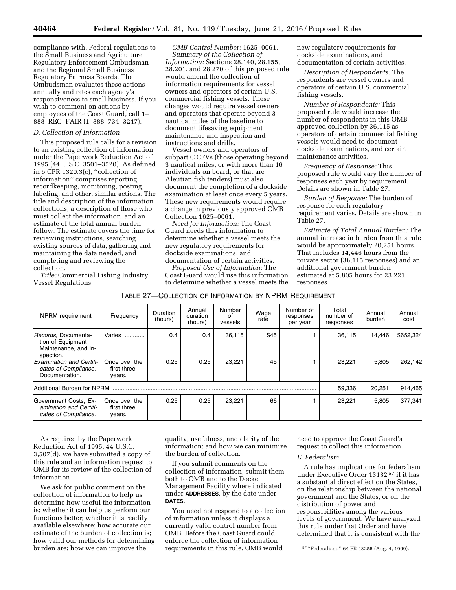compliance with, Federal regulations to the Small Business and Agriculture Regulatory Enforcement Ombudsman and the Regional Small Business Regulatory Fairness Boards. The Ombudsman evaluates these actions annually and rates each agency's responsiveness to small business. If you wish to comment on actions by employees of the Coast Guard, call 1– 888–REG–FAIR (1–888–734–3247).

#### *D. Collection of Information*

This proposed rule calls for a revision to an existing collection of information under the Paperwork Reduction Act of 1995 (44 U.S.C. 3501–3520). As defined in 5 CFR 1320.3(c), ''collection of information'' comprises reporting, recordkeeping, monitoring, posting, labeling, and other, similar actions. The title and description of the information collections, a description of those who must collect the information, and an estimate of the total annual burden follow. The estimate covers the time for reviewing instructions, searching existing sources of data, gathering and maintaining the data needed, and completing and reviewing the collection.

*Title:* Commercial Fishing Industry Vessel Regulations.

*OMB Control Number:* 1625–0061. *Summary of the Collection of Information:* Sections 28.140, 28.155, 28.201, and 28.270 of this proposed rule would amend the collection-ofinformation requirements for vessel owners and operators of certain U.S. commercial fishing vessels. These changes would require vessel owners and operators that operate beyond 3 nautical miles of the baseline to document lifesaving equipment maintenance and inspection and instructions and drills.

Vessel owners and operators of subpart C CFVs (those operating beyond 3 nautical miles, or with more than 16 individuals on board, or that are Aleutian fish tenders) must also document the completion of a dockside examination at least once every 5 years. These new requirements would require a change in previously approved OMB Collection 1625–0061.

*Need for Information:* The Coast Guard needs this information to determine whether a vessel meets the new regulatory requirements for dockside examinations, and documentation of certain activities.

*Proposed Use of Information:* The Coast Guard would use this information to determine whether a vessel meets the

new regulatory requirements for dockside examinations, and documentation of certain activities.

*Description of Respondents:* The respondents are vessel owners and operators of certain U.S. commercial fishing vessels.

*Number of Respondents:* This proposed rule would increase the number of respondents in this OMBapproved collection by 36,115 as operators of certain commercial fishing vessels would need to document dockside examinations, and certain maintenance activities.

*Frequency of Response:* This proposed rule would vary the number of responses each year by requirement. Details are shown in Table 27.

*Burden of Response:* The burden of response for each regulatory requirement varies. Details are shown in Table 27.

*Estimate of Total Annual Burden:* The annual increase in burden from this rule would be approximately 20,251 hours. That includes 14,446 hours from the private sector (36,115 responses) and an additional government burden estimated at 5,805 hours for 23,221 responses.

| NPRM requirement                                                              | Frequency                              | Duration<br>(hours) | Annual<br>duration<br>(hours) | Number<br>οf<br>vessels | Wage<br>rate | Number of<br>responses<br>per year | Total<br>number of<br>responses | Annual<br>burden | Annual<br>cost |
|-------------------------------------------------------------------------------|----------------------------------------|---------------------|-------------------------------|-------------------------|--------------|------------------------------------|---------------------------------|------------------|----------------|
| Records, Documenta-<br>tion of Equipment<br>Maintenance, and In-<br>spection. | Varies<br>                             | 0.4                 | 0.4                           | 36,115                  | \$45         |                                    | 36,115                          | 14.446           | \$652,324      |
| <b>Examination and Certifi-</b><br>cates of Compliance,<br>Documentation.     | Once over the<br>first three<br>years. | 0.25                | 0.25                          | 23.221                  | 45           |                                    | 23.221                          | 5.805            | 262.142        |
| Additional Burden for NPRM                                                    |                                        |                     |                               |                         | 59,336       | 20,251                             | 914,465                         |                  |                |
| Government Costs, Ex-<br>amination and Certifi-<br>cates of Compliance.       | Once over the<br>first three<br>years. | 0.25                | 0.25                          | 23,221                  | 66           |                                    | 23,221                          | 5.805            | 377,341        |

As required by the Paperwork Reduction Act of 1995, 44 U.S.C. 3,507(d), we have submitted a copy of this rule and an information request to OMB for its review of the collection of information.

We ask for public comment on the collection of information to help us determine how useful the information is; whether it can help us perform our functions better; whether it is readily available elsewhere; how accurate our estimate of the burden of collection is; how valid our methods for determining burden are; how we can improve the

quality, usefulness, and clarity of the information; and how we can minimize the burden of collection.

If you submit comments on the collection of information, submit them both to OMB and to the Docket Management Facility where indicated under **ADDRESSES**, by the date under **DATES**.

You need not respond to a collection of information unless it displays a currently valid control number from OMB. Before the Coast Guard could enforce the collection of information requirements in this rule, OMB would

need to approve the Coast Guard's request to collect this information.

#### *E. Federalism*

A rule has implications for federalism under Executive Order 13132 57 if it has a substantial direct effect on the States, on the relationship between the national government and the States, or on the distribution of power and responsibilities among the various levels of government. We have analyzed this rule under that Order and have determined that it is consistent with the

<sup>57</sup> ''Federalism,'' 64 FR 43255 (Aug. 4, 1999).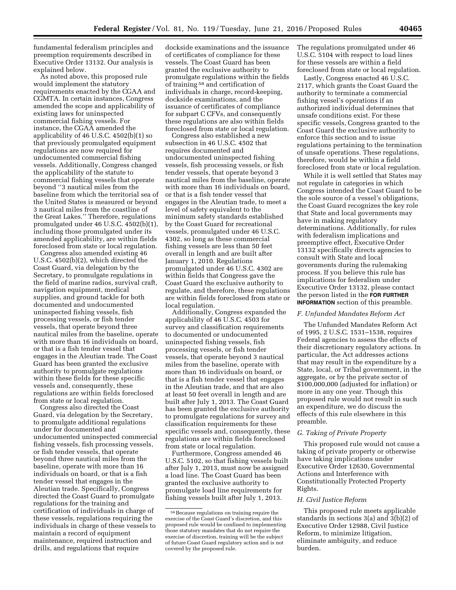fundamental federalism principles and preemption requirements described in Executive Order 13132. Our analysis is explained below.

As noted above, this proposed rule would implement the statutory requirements enacted by the CGAA and CGMTA. In certain instances, Congress amended the scope and applicability of existing laws for uninspected commercial fishing vessels. For instance, the CGAA amended the applicability of 46 U.S.C. 4502(b)(1) so that previously promulgated equipment regulations are now required for undocumented commercial fishing vessels. Additionally, Congress changed the applicability of the statute to commercial fishing vessels that operate beyond ''3 nautical miles from the baseline from which the territorial sea of the United States is measured or beyond 3 nautical miles from the coastline of the Great Lakes.'' Therefore, regulations promulgated under 46 U.S.C. 4502(b)(1), including those promulgated under its amended applicability, are within fields foreclosed from state or local regulation.

Congress also amended existing 46 U.S.C. 4502(b)(2), which directed the Coast Guard, via delegation by the Secretary, to promulgate regulations in the field of marine radios, survival craft, navigation equipment, medical supplies, and ground tackle for both documented and undocumented uninspected fishing vessels, fish processing vessels, or fish tender vessels, that operate beyond three nautical miles from the baseline, operate with more than 16 individuals on board, or that is a fish tender vessel that engages in the Aleutian trade. The Coast Guard has been granted the exclusive authority to promulgate regulations within these fields for these specific vessels and, consequently, these regulations are within fields foreclosed from state or local regulation.

Congress also directed the Coast Guard, via delegation by the Secretary, to promulgate additional regulations under for documented and undocumented uninspected commercial fishing vessels, fish processing vessels, or fish tender vessels, that operate beyond three nautical miles from the baseline, operate with more than 16 individuals on board, or that is a fish tender vessel that engages in the Aleutian trade. Specifically, Congress directed the Coast Guard to promulgate regulations for the training and certification of individuals in charge of these vessels, regulations requiring the individuals in charge of these vessels to maintain a record of equipment maintenance, required instruction and drills, and regulations that require

dockside examinations and the issuance of certificates of compliance for these vessels. The Coast Guard has been granted the exclusive authority to promulgate regulations within the fields of training 58 and certification of individuals in charge, record-keeping, dockside examinations, and the issuance of certificates of compliance for subpart C CFVs, and consequently these regulations are also within fields foreclosed from state or local regulation.

Congress also established a new subsection in 46 U.S.C. 4502 that requires documented and undocumented uninspected fishing vessels, fish processing vessels, or fish tender vessels, that operate beyond 3 nautical miles from the baseline, operate with more than 16 individuals on board, or that is a fish tender vessel that engages in the Aleutian trade, to meet a level of safety equivalent to the minimum safety standards established by the Coast Guard for recreational vessels, promulgated under 46 U.S.C. 4302, so long as these commercial fishing vessels are less than 50 feet overall in length and are built after January 1, 2010. Regulations promulgated under 46 U.S.C. 4302 are within fields that Congress gave the Coast Guard the exclusive authority to regulate, and therefore, these regulations are within fields foreclosed from state or local regulation.

Additionally, Congress expanded the applicability of 46 U.S.C. 4503 for survey and classification requirements to documented or undocumented uninspected fishing vessels, fish processing vessels, or fish tender vessels, that operate beyond 3 nautical miles from the baseline, operate with more than 16 individuals on board, or that is a fish tender vessel that engages in the Aleutian trade, and that are also at least 50 feet overall in length and are built after July 1, 2013. The Coast Guard has been granted the exclusive authority to promulgate regulations for survey and classification requirements for these specific vessels and, consequently, these regulations are within fields foreclosed from state or local regulation.

Furthermore, Congress amended 46 U.S.C. 5102, so that fishing vessels built after July 1, 2013, must now be assigned a load line. The Coast Guard has been granted the exclusive authority to promulgate load line requirements for fishing vessels built after July 1, 2013.

The regulations promulgated under 46 U.S.C. 5104 with respect to load lines for these vessels are within a field foreclosed from state or local regulation.

Lastly, Congress enacted 46 U.S.C. 2117, which grants the Coast Guard the authority to terminate a commercial fishing vessel's operations if an authorized individual determines that unsafe conditions exist. For these specific vessels, Congress granted to the Coast Guard the exclusive authority to enforce this section and to issue regulations pertaining to the termination of unsafe operations. These regulations, therefore, would be within a field foreclosed from state or local regulation.

While it is well settled that States may not regulate in categories in which Congress intended the Coast Guard to be the sole source of a vessel's obligations, the Coast Guard recognizes the key role that State and local governments may have in making regulatory determinations. Additionally, for rules with federalism implications and preemptive effect, Executive Order 13132 specifically directs agencies to consult with State and local governments during the rulemaking process. If you believe this rule has implications for federalism under Executive Order 13132, please contact the person listed in the **FOR FURTHER INFORMATION** section of this preamble.

#### *F. Unfunded Mandates Reform Act*

The Unfunded Mandates Reform Act of 1995, 2 U.S.C. 1531–1538, requires Federal agencies to assess the effects of their discretionary regulatory actions. In particular, the Act addresses actions that may result in the expenditure by a State, local, or Tribal government, in the aggregate, or by the private sector of \$100,000,000 (adjusted for inflation) or more in any one year. Though this proposed rule would not result in such an expenditure, we do discuss the effects of this rule elsewhere in this preamble.

#### *G. Taking of Private Property*

This proposed rule would not cause a taking of private property or otherwise have taking implications under Executive Order 12630, Governmental Actions and Interference with Constitutionally Protected Property Rights.

#### *H. Civil Justice Reform*

This proposed rule meets applicable standards in sections 3(a) and 3(b)(2) of Executive Order 12988, Civil Justice Reform, to minimize litigation, eliminate ambiguity, and reduce burden.

<sup>58</sup>Because regulations on training require the exercise of the Coast Guard's discretion, and this proposed rule would be confined to implementing those statutory mandates that do not require the exercise of discretion, training will be the subject of future Coast Guard regulatory action and is not covered by the proposed rule.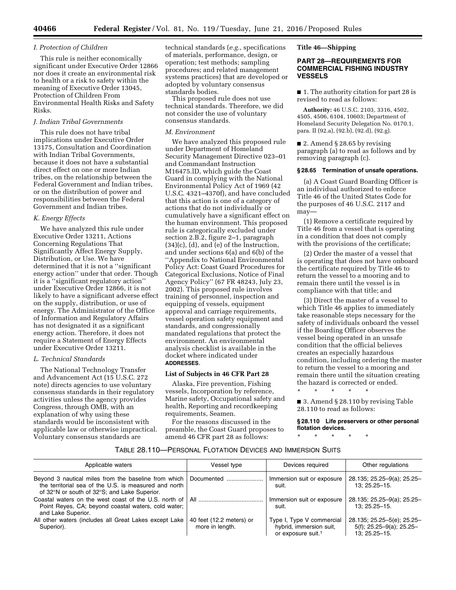#### *I. Protection of Children*

This rule is neither economically significant under Executive Order 12866 nor does it create an environmental risk to health or a risk to safety within the meaning of Executive Order 13045, Protection of Children From Environmental Health Risks and Safety Risks.

#### *J. Indian Tribal Governments*

This rule does not have tribal implications under Executive Order 13175, Consultation and Coordination with Indian Tribal Governments, because it does not have a substantial direct effect on one or more Indian tribes, on the relationship between the Federal Government and Indian tribes, or on the distribution of power and responsibilities between the Federal Government and Indian tribes.

#### *K. Energy Effects*

We have analyzed this rule under Executive Order 13211, Actions Concerning Regulations That Significantly Affect Energy Supply, Distribution, or Use. We have determined that it is not a ''significant energy action'' under that order. Though it is a ''significant regulatory action'' under Executive Order 12866, it is not likely to have a significant adverse effect on the supply, distribution, or use of energy. The Administrator of the Office of Information and Regulatory Affairs has not designated it as a significant energy action. Therefore, it does not require a Statement of Energy Effects under Executive Order 13211.

#### *L. Technical Standards*

The National Technology Transfer and Advancement Act (15 U.S.C. 272 note) directs agencies to use voluntary consensus standards in their regulatory activities unless the agency provides Congress, through OMB, with an explanation of why using these standards would be inconsistent with applicable law or otherwise impractical. Voluntary consensus standards are

technical standards (*e.g.*, specifications of materials, performance, design, or operation; test methods; sampling procedures; and related management systems practices) that are developed or adopted by voluntary consensus standards bodies.

This proposed rule does not use technical standards. Therefore, we did not consider the use of voluntary consensus standards.

#### *M. Environment*

We have analyzed this proposed rule under Department of Homeland Security Management Directive 023–01 and Commandant Instruction M16475.lD, which guide the Coast Guard in complying with the National Environmental Policy Act of 1969 (42 U.S.C. 4321–4370f), and have concluded that this action is one of a category of actions that do not individually or cumulatively have a significant effect on the human environment. This proposed rule is categorically excluded under section 2.B.2, figure 2–1, paragraph  $(34)(c)$ ,  $(d)$ , and  $(e)$  of the Instruction, and under sections 6(a) and 6(b) of the ''Appendix to National Environmental Policy Act: Coast Guard Procedures for Categorical Exclusions, Notice of Final Agency Policy'' (67 FR 48243, July 23, 2002). This proposed rule involves training of personnel, inspection and equipping of vessels, equipment approval and carriage requirements, vessel operation safety equipment and standards, and congressionally mandated regulations that protect the environment. An environmental analysis checklist is available in the docket where indicated under **ADDRESSES**.

#### **List of Subjects in 46 CFR Part 28**

Alaska, Fire prevention, Fishing vessels, Incorporation by reference, Marine safety, Occupational safety and health, Reporting and recordkeeping requirements, Seamen.

For the reasons discussed in the preamble, the Coast Guard proposes to amend 46 CFR part 28 as follows:

#### **Title 46—Shipping**

#### **PART 28—REQUIREMENTS FOR COMMERCIAL FISHING INDUSTRY VESSELS**

■ 1. The authority citation for part 28 is revised to read as follows:

**Authority:** 46 U.S.C. 2103, 3316, 4502, 4505, 4506, 6104, 10603; Department of Homeland Security Delegation No. 0170.1, para. II (92.a), (92.b), (92.d), (92.g).

■ 2. Amend § 28.65 by revising paragraph (a) to read as follows and by removing paragraph (c).

#### **§ 28.65 Termination of unsafe operations.**

(a) A Coast Guard Boarding Officer is an individual authorized to enforce Title 46 of the United States Code for the purposes of 46 U.S.C. 2117 and may—

(1) Remove a certificate required by Title 46 from a vessel that is operating in a condition that does not comply with the provisions of the certificate;

(2) Order the master of a vessel that is operating that does not have onboard the certificate required by Title 46 to return the vessel to a mooring and to remain there until the vessel is in compliance with that title; and

(3) Direct the master of a vessel to which Title 46 applies to immediately take reasonable steps necessary for the safety of individuals onboard the vessel if the Boarding Officer observes the vessel being operated in an unsafe condition that the official believes creates an especially hazardous condition, including ordering the master to return the vessel to a mooring and remain there until the situation creating the hazard is corrected or ended.

\* \* \* \* \*

■ 3. Amend § 28.110 by revising Table 28.110 to read as follows:

**§ 28.110 Life preservers or other personal flotation devices.** 

\* \* \* \* \*

#### TABLE 28.110—PERSONAL FLOTATION DEVICES AND IMMERSION SUITS

| Applicable waters                                                                                     | Vessel type                                 | Devices required                                                                       | Other regulations                                                          |
|-------------------------------------------------------------------------------------------------------|---------------------------------------------|----------------------------------------------------------------------------------------|----------------------------------------------------------------------------|
| the territorial sea of the U.S. is measured and north<br>of 32°N or south of 32°S; and Lake Superior. |                                             | Immersion suit or exposure<br>suit.                                                    | 28.135; 25.25-9(a); 25.25-<br>13: 25.25 - 15.                              |
| Point Reves, CA; beyond coastal waters, cold water;<br>and Lake Superior.                             |                                             | Immersion suit or exposure<br>suit.                                                    | 28.135; 25.25-9(a); 25.25-<br>$13: 25.25 - 15.$                            |
| All other waters (includes all Great Lakes except Lake<br>Superior).                                  | 40 feet (12.2 meters) or<br>more in length. | Type I, Type V commercial<br>hybrid, immersion suit,<br>or exposure suit. <sup>1</sup> | 28.135; 25.25-5(e); 25.25-<br>$5(f)$ ; 25.25-9(a); 25.25-<br>13; 25.25-15. |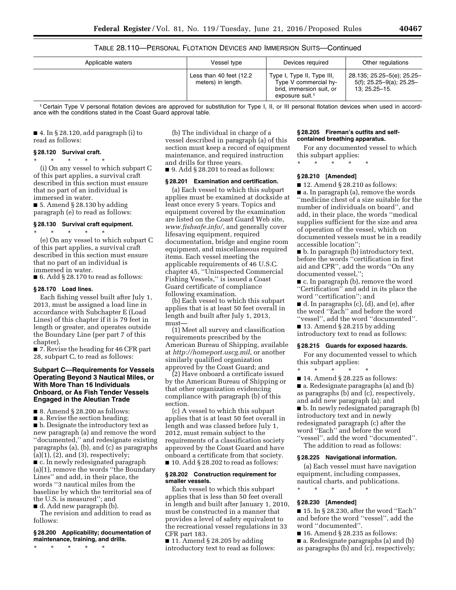TABLE 28.110—PERSONAL FLOTATION DEVICES AND IMMERSION SUITS—Continued

| Applicable waters | Vessel type                                    | Devices required                                                                                               | Other regulations                                                          |  |
|-------------------|------------------------------------------------|----------------------------------------------------------------------------------------------------------------|----------------------------------------------------------------------------|--|
|                   | Less than 40 feet (12.2)<br>meters) in length. | Type I, Type II, Type III,<br>Type V commercial hy-<br>brid, immersion suit, or<br>exposure suit. <sup>1</sup> | 28.135; 25.25-5(e); 25.25-<br>$5(f)$ ; 25.25-9(a); 25.25-<br>13; 25.25–15. |  |

1 Certain Type V personal flotation devices are approved for substitution for Type I, II, or III personal flotation devices when used in accordance with the conditions stated in the Coast Guard approval table.

■ 4. In § 28.120, add paragraph (i) to read as follows:

#### **§ 28.120 Survival craft.**

\* \* \* \* \* (i) On any vessel to which subpart C of this part applies, a survival craft described in this section must ensure that no part of an individual is immersed in water.

■ 5. Amend § 28.130 by adding paragraph (e) to read as follows:

#### **§ 28.130 Survival craft equipment.**

\* \* \* \* \* (e) On any vessel to which subpart C of this part applies, a survival craft described in this section must ensure that no part of an individual is immersed in water.

 $\blacksquare$  6. Add § 28.170 to read as follows:

#### **§ 28.170 Load lines.**

Each fishing vessel built after July 1, 2013, must be assigned a load line in accordance with Subchapter E (Load Lines) of this chapter if it is 79 feet in length or greater, and operates outside the Boundary Line (per part 7 of this chapter).

■ 7. Revise the heading for 46 CFR part 28, subpart C, to read as follows:

#### **Subpart C—Requirements for Vessels Operating Beyond 3 Nautical Miles, or With More Than 16 Individuals Onboard, or As Fish Tender Vessels Engaged in the Aleutian Trade**

■ 8. Amend § 28.200 as follows:

■ a. Revise the section heading;

■ b. Designate the introductory text as new paragraph (a) and remove the word ''documented,'' and redesignate existing paragraphs (a), (b), and (c) as paragraphs (a)(1), (2), and (3), respectively; ■ c. In newly redesignated paragraph (a)(1), remove the words ''the Boundary Lines'' and add, in their place, the words ''3 nautical miles from the baseline by which the territorial sea of the U.S. is measured''; and

■ d. Add new paragraph (b).

The revision and addition to read as follows:

#### **§ 28.200 Applicability; documentation of maintenance, training, and drills.**

\* \* \* \* \*

(b) The individual in charge of a vessel described in paragraph (a) of this section must keep a record of equipment maintenance, and required instruction and drills for three years.

 $\blacksquare$  9. Add § 28.201 to read as follows:

#### **§ 28.201 Examination and certification.**

(a) Each vessel to which this subpart applies must be examined at dockside at least once every 5 years. Topics and equipment covered by the examination are listed on the Coast Guard Web site, *[www.fishsafe.info/](http://www.fishsafe.info/)*, and generally cover lifesaving equipment, required documentation, bridge and engine room equipment, and miscellaneous required items. Each vessel meeting the applicable requirements of 46 U.S.C. chapter 45, ''Uninspected Commercial Fishing Vessels,'' is issued a Coast Guard certificate of compliance following examination.

(b) Each vessel to which this subpart applies that is at least 50 feet overall in length and built after July 1, 2013, must—

(1) Meet all survey and classification requirements prescribed by the American Bureau of Shipping, available at *<http://homeport.uscg.mil>*, or another similarly qualified organization approved by the Coast Guard; and

(2) Have onboard a certificate issued by the American Bureau of Shipping or that other organization evidencing compliance with paragraph (b) of this section.

(c) A vessel to which this subpart applies that is at least 50 feet overall in length and was classed before July 1, 2012, must remain subject to the requirements of a classification society approved by the Coast Guard and have onboard a certificate from that society.  $\blacksquare$  10. Add § 28.202 to read as follows:

#### **§ 28.202 Construction requirement for smaller vessels.**

Each vessel to which this subpart applies that is less than 50 feet overall in length and built after January 1, 2010, must be constructed in a manner that provides a level of safety equivalent to the recreational vessel regulations in 33 CFR part 183.

 $\blacksquare$  11. Amend § 28.205 by adding introductory text to read as follows:

#### **§ 28.205 Fireman's outfits and selfcontained breathing apparatus.**

For any documented vessel to which this subpart applies:

 $\star$   $\star$ 

#### **§ 28.210 [Amended]**

■ 12. Amend § 28.210 as follows:

■ a. In paragraph (a), remove the words ''medicine chest of a size suitable for the number of individuals on board'', and add, in their place, the words ''medical supplies sufficient for the size and area of operation of the vessel, which on documented vessels must be in a readily accessible location'';

■ b. In paragraph (b) introductory text, before the words ''certification in first aid and CPR'', add the words ''On any documented vessel,'';

■ c. In paragraph (b), remove the word ''Certification'' and add in its place the word ''certification''; and

■ d. In paragraphs (c), (d), and (e), after the word ''Each'' and before the word ''vessel'', add the word ''documented''.

 $\blacksquare$  13. Amend § 28.215 by adding introductory text to read as follows:

#### **§ 28.215 Guards for exposed hazards.**

For any documented vessel to which this subpart applies:

\* \* \* \* \*  $\blacksquare$  14. Amend § 28.225 as follows: ■ a. Redesignate paragraphs (a) and (b) as paragraphs (b) and (c), respectively, and add new paragraph (a); and ■ b. In newly redesignated paragraph (b)

introductory text and in newly redesignated paragraph (c) after the word ''Each'' and before the word ''vessel'', add the word ''documented''.

The addition to read as follows:

#### **§ 28.225 Navigational information.**

(a) Each vessel must have navigation equipment, including compasses, nautical charts, and publications.

\* \* \* \* \*

#### **§ 28.230 [Amended]**

 $\blacksquare$  15. In § 28.230, after the word "Each" and before the word ''vessel'', add the word ''documented''.

- $\blacksquare$  16. Amend § 28.235 as follows:
- a. Redesignate paragraphs (a) and (b)
- as paragraphs (b) and (c), respectively;